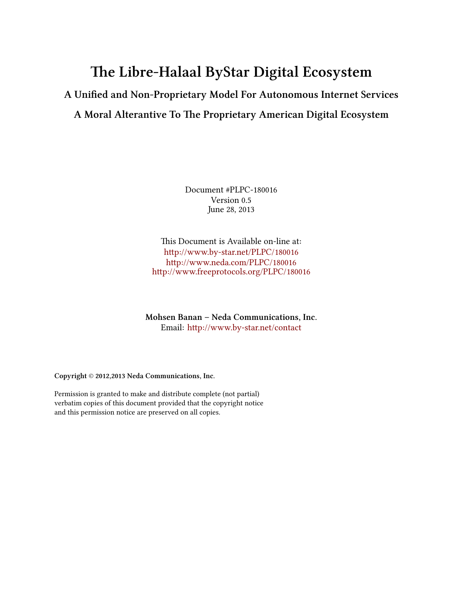# **e Libre-Halaal ByStar Digital Ecosystem**

# **A Unified and Non-Proprietary Model For Autonomous Internet Services** A Moral Alterantive To The Proprietary American Digital Ecosystem

Document #PLPC-180016 Version 0.5 June 28, 2013

This Document is Available on-line at: [hp://www.by-star.net/PLPC/180016](http://www.by-star.net/PLPC/180016) [hp://www.neda.com/PLPC/180016](http://www.neda.com/PLPC/180016) [hp://www.freeprotocols.org/PLPC/180016](http://www.freeprotocols.org/PLPC/180016)

**Mohsen Banan – Neda Communications, Inc.** Email: http://www.by-star.net/contact

**Copyright** © **2012,2013 Neda Communications, Inc.**

Permission is granted to make and distribute complete (not partial) verbatim copies of this document provided that the copyright notice and this permission notice are preserved on all copies.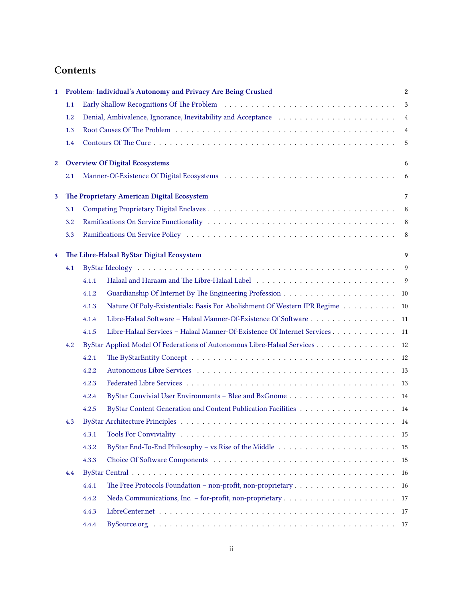# **Contents**

| $\mathbf{1}$ | Problem: Individual's Autonomy and Privacy Are Being Crushed<br>$\boldsymbol{2}$ |                                                                                                                         |               |  |  |  |
|--------------|----------------------------------------------------------------------------------|-------------------------------------------------------------------------------------------------------------------------|---------------|--|--|--|
|              | 1.1                                                                              | 3                                                                                                                       |               |  |  |  |
|              | 1.2                                                                              |                                                                                                                         | 4             |  |  |  |
|              | 1.3                                                                              |                                                                                                                         | 4             |  |  |  |
|              | 1.4                                                                              |                                                                                                                         | 5             |  |  |  |
| $\mathbf{2}$ |                                                                                  | <b>Overview Of Digital Ecosystems</b>                                                                                   | 6             |  |  |  |
|              | 2.1                                                                              |                                                                                                                         | 6             |  |  |  |
| 3            |                                                                                  | The Proprietary American Digital Ecosystem                                                                              | 7             |  |  |  |
|              | 3.1                                                                              |                                                                                                                         | 8             |  |  |  |
|              | 3.2                                                                              |                                                                                                                         | 8             |  |  |  |
|              | 3.3                                                                              |                                                                                                                         | 8             |  |  |  |
| 4            |                                                                                  | The Libre-Halaal ByStar Digital Ecosystem                                                                               | 9             |  |  |  |
|              | 4.1                                                                              |                                                                                                                         | 9             |  |  |  |
|              |                                                                                  | 4.1.1                                                                                                                   | 9             |  |  |  |
|              |                                                                                  | 4.1.2                                                                                                                   | 10            |  |  |  |
|              |                                                                                  | Nature Of Poly-Existentials: Basis For Abolishment Of Western IPR Regime<br>4.1.3                                       | 10            |  |  |  |
|              |                                                                                  | Libre-Halaal Software - Halaal Manner-Of-Existence Of Software<br>4.1.4                                                 | 11            |  |  |  |
|              |                                                                                  | Libre-Halaal Services - Halaal Manner-Of-Existence Of Internet Services<br>4.1.5                                        | 11            |  |  |  |
|              | 4.2                                                                              | ByStar Applied Model Of Federations of Autonomous Libre-Halaal Services                                                 | 12            |  |  |  |
|              |                                                                                  | 4.2.1                                                                                                                   | <sup>12</sup> |  |  |  |
|              |                                                                                  | 4.2.2                                                                                                                   | 13            |  |  |  |
|              |                                                                                  | 4.2.3                                                                                                                   | 13            |  |  |  |
|              |                                                                                  | 4.2.4                                                                                                                   | 14            |  |  |  |
|              |                                                                                  | By<br>Star Content Generation and Content Publication Facilities<br>$\dots\dots\dots\dots\dots\dots\dots\dots$<br>4.2.5 | 14            |  |  |  |
|              | 4.3                                                                              |                                                                                                                         |               |  |  |  |
|              |                                                                                  | 4.3.1                                                                                                                   | 15            |  |  |  |
|              |                                                                                  | 4.3.2                                                                                                                   | 15            |  |  |  |
|              |                                                                                  | 4.3.3                                                                                                                   | 15            |  |  |  |
|              | 4.4                                                                              |                                                                                                                         | 16            |  |  |  |
|              |                                                                                  | 4.4.1                                                                                                                   | 16            |  |  |  |
|              |                                                                                  | 4.4.2                                                                                                                   | 17            |  |  |  |
|              |                                                                                  | 4.4.3                                                                                                                   | 17            |  |  |  |
|              |                                                                                  | 4.4.4                                                                                                                   |               |  |  |  |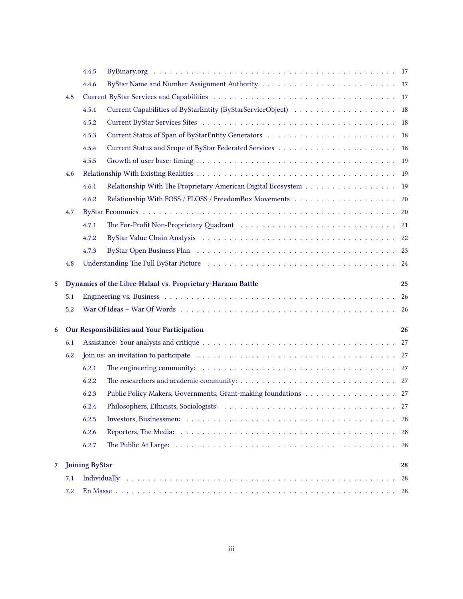|                                                  |     | 4.4.5                 |                                                                                                                                                                                                                                |          |  |
|--------------------------------------------------|-----|-----------------------|--------------------------------------------------------------------------------------------------------------------------------------------------------------------------------------------------------------------------------|----------|--|
|                                                  |     | 4.4.6                 |                                                                                                                                                                                                                                |          |  |
| 4.5                                              |     |                       |                                                                                                                                                                                                                                |          |  |
|                                                  |     | 4.5.1                 | Current Capabilities of ByStarEntity (ByStarServiceObject) 18                                                                                                                                                                  |          |  |
|                                                  |     | 4.5.2                 |                                                                                                                                                                                                                                |          |  |
|                                                  |     | 4.5.3                 |                                                                                                                                                                                                                                |          |  |
|                                                  |     | 4.5.4                 |                                                                                                                                                                                                                                |          |  |
|                                                  |     | 4.5.5                 |                                                                                                                                                                                                                                |          |  |
|                                                  | 4.6 |                       |                                                                                                                                                                                                                                |          |  |
|                                                  |     | 4.6.1                 | Relationship With The Proprietary American Digital Ecosystem 19                                                                                                                                                                |          |  |
|                                                  |     | 4.6.2                 |                                                                                                                                                                                                                                |          |  |
|                                                  | 4.7 |                       |                                                                                                                                                                                                                                |          |  |
|                                                  |     | 4.7.1                 |                                                                                                                                                                                                                                |          |  |
|                                                  |     | 4.7.2                 | ByStar Value Chain Analysis (also contract out of the contract of the contract of the contract of the contract of the contract of the contract of the contract of the contract of the contract of the contract of the contract |          |  |
|                                                  |     | 4.7.3                 |                                                                                                                                                                                                                                |          |  |
|                                                  | 4.8 |                       |                                                                                                                                                                                                                                |          |  |
| $\overline{5}$                                   |     |                       | Dynamics of the Libre-Halaal vs. Proprietary-Haraam Battle                                                                                                                                                                     | 25       |  |
|                                                  | 5.1 |                       |                                                                                                                                                                                                                                | 26       |  |
|                                                  | 5.2 |                       |                                                                                                                                                                                                                                | -26      |  |
|                                                  |     |                       |                                                                                                                                                                                                                                |          |  |
| Our Responsibilities and Your Participation<br>6 |     |                       | 26                                                                                                                                                                                                                             |          |  |
|                                                  | 6.1 |                       |                                                                                                                                                                                                                                |          |  |
|                                                  | 6.2 |                       |                                                                                                                                                                                                                                |          |  |
|                                                  |     | 6.2.1                 |                                                                                                                                                                                                                                |          |  |
|                                                  |     | 6.2.2                 |                                                                                                                                                                                                                                |          |  |
|                                                  |     | 6.2.3                 | Public Policy Makers, Governments, Grant-making foundations 27                                                                                                                                                                 |          |  |
|                                                  |     | 6.2.4                 |                                                                                                                                                                                                                                |          |  |
|                                                  |     | 6.2.5                 |                                                                                                                                                                                                                                | -28      |  |
|                                                  |     | 6.2.6                 |                                                                                                                                                                                                                                | 28       |  |
|                                                  |     | 6.2.7                 |                                                                                                                                                                                                                                | 28       |  |
|                                                  |     |                       |                                                                                                                                                                                                                                |          |  |
| 7                                                |     | <b>Joining ByStar</b> |                                                                                                                                                                                                                                | 28<br>28 |  |
|                                                  | 7.1 |                       |                                                                                                                                                                                                                                |          |  |
|                                                  | 7.2 | 28                    |                                                                                                                                                                                                                                |          |  |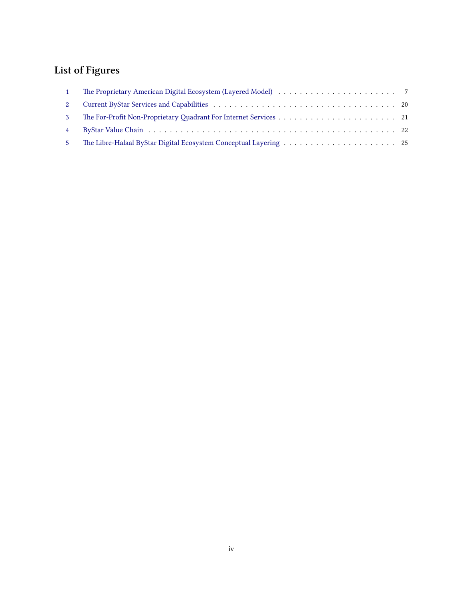# **List of Figures**

| $\mathbf{1}$   |  |
|----------------|--|
| $2^{\circ}$    |  |
| 3 <sup>1</sup> |  |
|                |  |
| 5 <sup>1</sup> |  |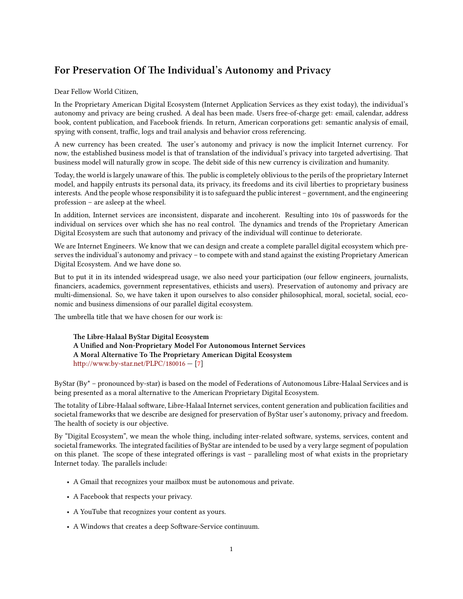# For Preservation Of The Individual's Autonomy and Privacy

Dear Fellow World Citizen,

In the Proprietary American Digital Ecosystem (Internet Application Services as they exist today), the individual's autonomy and privacy are being crushed. A deal has been made. Users free-of-charge get: email, calendar, address book, content publication, and Facebook friends. In return, American corporations get: semantic analysis of email, spying with consent, traffic, logs and trail analysis and behavior cross referencing.

A new currency has been created. The user's autonomy and privacy is now the implicit Internet currency. For now, the established business model is that of translation of the individual's privacy into targeted advertising. That business model will naturally grow in scope. The debit side of this new currency is civilization and humanity.

Today, the world is largely unaware of this. The public is completely oblivious to the perils of the proprietary Internet model, and happily entrusts its personal data, its privacy, its freedoms and its civil liberties to proprietary business interests. And the people whose responsibility it is to safeguard the public interest – government, and the engineering profession – are asleep at the wheel.

In addition, Internet services are inconsistent, disparate and incoherent. Resulting into 10s of passwords for the individual on services over which she has no real control. The dynamics and trends of the Proprietary American Digital Ecosystem are such that autonomy and privacy of the individual will continue to deteriorate.

We are Internet Engineers. We know that we can design and create a complete parallel digital ecosystem which preserves the individual's autonomy and privacy – to compete with and stand against the existing Proprietary American Digital Ecosystem. And we have done so.

But to put it in its intended widespread usage, we also need your participation (our fellow engineers, journalists, financiers, academics, government representatives, ethicists and users). Preservation of autonomy and privacy are multi-dimensional. So, we have taken it upon ourselves to also consider philosophical, moral, societal, social, economic and business dimensions of our parallel digital ecosystem.

The umbrella title that we have chosen for our work is:

**e Libre-Halaal ByStar Digital Ecosystem A Unified and Non-Proprietary Model For Autonomous Internet Services** A Moral Alternative To The Proprietary American Digital Ecosystem http://www.by-star.net/PLPC/180016 - [\[7](#page-32-0)]

ByStar (By\* – pronounced by-star) is based on the model of Federations of Autonomous Libre-Halaal Services and is being presented as a moral alternative to the American Proprietary Digital Ecosystem.

The totality of Libre-Halaal software, Libre-Halaal Internet services, content generation and publication facilities and societal frameworks that we describe are designed for preservation of ByStar user's autonomy, privacy and freedom. The health of society is our objective.

By "Digital Ecosystem", we mean the whole thing, including inter-related software, systems, services, content and societal frameworks. The integrated facilities of ByStar are intended to be used by a very large segment of population on this planet. The scope of these integrated offerings is vast – paralleling most of what exists in the proprietary Internet today. The parallels include:

- A Gmail that recognizes your mailbox must be autonomous and private.
- A Facebook that respects your privacy.
- A YouTube that recognizes your content as yours.
- A Windows that creates a deep Software-Service continuum.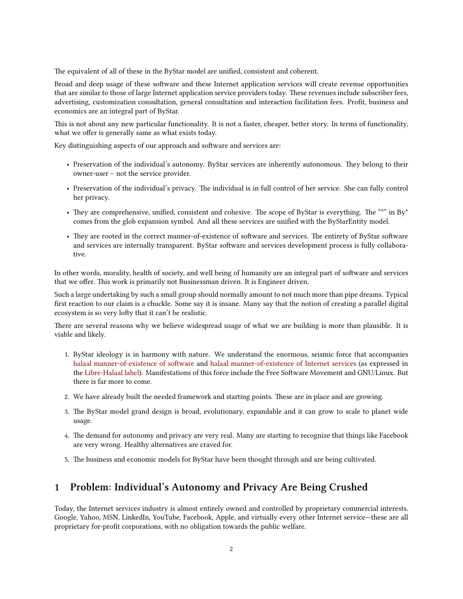The equivalent of all of these in the ByStar model are unified, consistent and coherent.

Broad and deep usage of these software and these Internet application services will create revenue opportunities that are similar to those of large Internet application service providers today. These revenues include subscriber fees, advertising, customization consultation, general consultation and interaction facilitation fees. Profit, business and economics are an integral part of ByStar.

This is not about any new particular functionality. It is not a faster, cheaper, better story. In terms of functionality, what we offer is generally same as what exists today.

Key distinguishing aspects of our approach and software and services are:

- Preservation of the individual's autonomy. ByStar services are inherently autonomous. They belong to their owner-user – not the service provider.
- Preservation of the individual's privacy. The individual is in full control of her service. She can fully control her privacy.
- They are comprehensive, unified, consistent and cohesive. The scope of ByStar is everything. The "\*" in By\* comes from the glob expansion symbol. And all these services are unified with the ByStarEntity model.
- They are rooted in the correct manner-of-existence of software and services. The entirety of ByStar software and services are internally transparent. ByStar software and services development process is fully collaborative.

In other words, morality, health of society, and well being of humanity are an integral part of software and services that we offer. This work is primarily not Businessman driven. It is Engineer driven.

Such a large undertaking by such a small group should normally amount to not much more than pipe dreams. Typical first reaction to our claim is a chuckle. Some say it is insane. Many say that the notion of creating a parallel digital ecosystem is so very lofty that it can't be realistic.

There are several reasons why we believe widespread usage of what we are building is more than plausible. It is viable and likely.

- 1. ByStar ideology is in harmony with nature. We understand the enormous, seismic force that accompanies halaal manner-of-existence of software and [halaal manner-of-existence of Internet services](http://www.libreservices.org) (as expressed in the [Libre-Halaal label](http://mohsen.1.banan.byname.net/PLPC/120039)). Manifestations of this force include the Free Software Movement and GNU/Linux. But there is far more to come.
- 2. We have already built the needed framework and starting points. These are in place and are growing.
- 3. The ByStar model grand design is broad, evolutionary, expandable and it can grow to scale to planet wide usage.
- 4. The demand for autonomy and privacy are very real. Many are starting to recognize that things like Facebook are very wrong. Healthy alternatives are craved for.
- 5. The business and economic models for ByStar have been thought through and are being cultivated.

# <span id="page-5-0"></span>**1 Problem: Individual's Autonomy and Privacy Are Being Crushed**

Today, the Internet services industry is almost entirely owned and controlled by proprietary commercial interests. Google, Yahoo, MSN, LinkedIn, YouTube, Facebook, Apple, and virtually every other Internet service—these are all proprietary for-profit corporations, with no obligation towards the public welfare.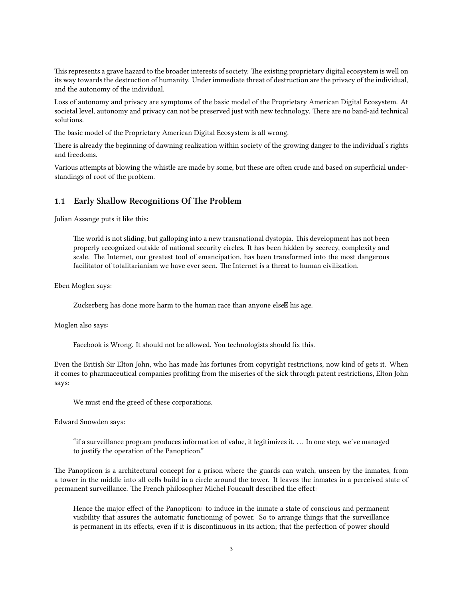This represents a grave hazard to the broader interests of society. The existing proprietary digital ecosystem is well on its way towards the destruction of humanity. Under immediate threat of destruction are the privacy of the individual, and the autonomy of the individual.

Loss of autonomy and privacy are symptoms of the basic model of the Proprietary American Digital Ecosystem. At societal level, autonomy and privacy can not be preserved just with new technology. There are no band-aid technical solutions.

The basic model of the Proprietary American Digital Ecosystem is all wrong.

There is already the beginning of dawning realization within society of the growing danger to the individual's rights and freedoms.

Various attempts at blowing the whistle are made by some, but these are often crude and based on superficial understandings of root of the problem.

#### <span id="page-6-0"></span>**1.1 Early Shallow Recognitions Of The Problem**

Julian Assange puts it like this:

The world is not sliding, but galloping into a new transnational dystopia. This development has not been properly recognized outside of national security circles. It has been hidden by secrecy, complexity and scale. The Internet, our greatest tool of emancipation, has been transformed into the most dangerous facilitator of totalitarianism we have ever seen. The Internet is a threat to human civilization.

Eben Moglen says:

Zuckerberg has done more harm to the human race than anyone else $\boxtimes$  his age.

Moglen also says:

Facebook is Wrong. It should not be allowed. You technologists should fix this.

Even the British Sir Elton John, who has made his fortunes from copyright restrictions, now kind of gets it. When it comes to pharmaceutical companies profiting from the miseries of the sick through patent restrictions, Elton John says:

We must end the greed of these corporations.

Edward Snowden says:

"if a surveillance program produces information of value, it legitimizes it. . . . In one step, we've managed to justify the operation of the Panopticon."

The Panopticon is a architectural concept for a prison where the guards can watch, unseen by the inmates, from a tower in the middle into all cells build in a circle around the tower. It leaves the inmates in a perceived state of permanent surveillance. The French philosopher Michel Foucault described the effect:

Hence the major effect of the Panopticon: to induce in the inmate a state of conscious and permanent visibility that assures the automatic functioning of power. So to arrange things that the surveillance is permanent in its effects, even if it is discontinuous in its action; that the perfection of power should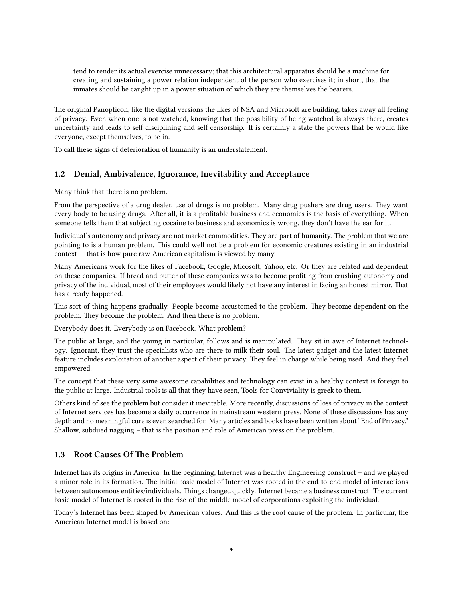tend to render its actual exercise unnecessary; that this architectural apparatus should be a machine for creating and sustaining a power relation independent of the person who exercises it; in short, that the inmates should be caught up in a power situation of which they are themselves the bearers.

The original Panopticon, like the digital versions the likes of NSA and Microsoft are building, takes away all feeling of privacy. Even when one is not watched, knowing that the possibility of being watched is always there, creates uncertainty and leads to self disciplining and self censorship. It is certainly a state the powers that be would like everyone, except themselves, to be in.

To call these signs of deterioration of humanity is an understatement.

## <span id="page-7-0"></span>**1.2 Denial, Ambivalence, Ignorance, Inevitability and Acceptance**

Many think that there is no problem.

From the perspective of a drug dealer, use of drugs is no problem. Many drug pushers are drug users. They want every body to be using drugs. After all, it is a profitable business and economics is the basis of everything. When someone tells them that subjecting cocaine to business and economics is wrong, they don't have the ear for it.

Individual's autonomy and privacy are not market commodities. They are part of humanity. The problem that we are pointing to is a human problem. This could well not be a problem for economic creatures existing in an industrial context — that is how pure raw American capitalism is viewed by many.

Many Americans work for the likes of Facebook, Google, Micosoft, Yahoo, etc. Or they are related and dependent on these companies. If bread and butter of these companies was to become profiting from crushing autonomy and privacy of the individual, most of their employees would likely not have any interest in facing an honest mirror. That has already happened.

This sort of thing happens gradually. People become accustomed to the problem. They become dependent on the problem. They become the problem. And then there is no problem.

Everybody does it. Everybody is on Facebook. What problem?

The public at large, and the young in particular, follows and is manipulated. They sit in awe of Internet technology. Ignorant, they trust the specialists who are there to milk their soul. The latest gadget and the latest Internet feature includes exploitation of another aspect of their privacy. They feel in charge while being used. And they feel empowered.

The concept that these very same awesome capabilities and technology can exist in a healthy context is foreign to the public at large. Industrial tools is all that they have seen, Tools for Conviviality is greek to them.

Others kind of see the problem but consider it inevitable. More recently, discussions of loss of privacy in the context of Internet services has become a daily occurrence in mainstream western press. None of these discussions has any depth and no meaningful cure is even searched for. Many articles and books have been written about "End of Privacy." Shallow, subdued nagging – that is the position and role of American press on the problem.

## <span id="page-7-1"></span>**1.3 Root Causes Of The Problem**

Internet has its origins in America. In the beginning, Internet was a healthy Engineering construct – and we played a minor role in its formation. The initial basic model of Internet was rooted in the end-to-end model of interactions between autonomous entities/individuals. Things changed quickly. Internet became a business construct. The current basic model of Internet is rooted in the rise-of-the-middle model of corporations exploiting the individual.

Today's Internet has been shaped by American values. And this is the root cause of the problem. In particular, the American Internet model is based on: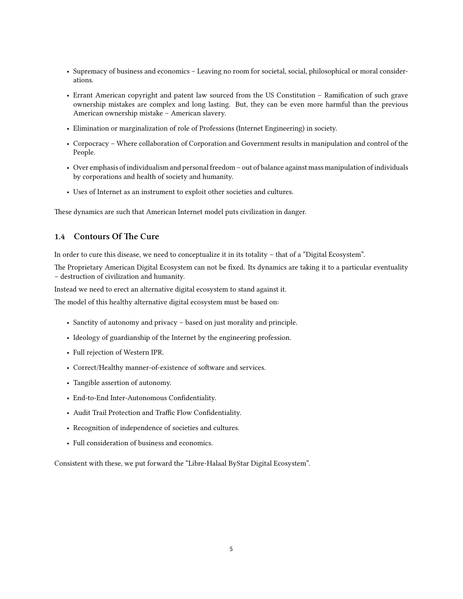- Supremacy of business and economics Leaving no room for societal, social, philosophical or moral considerations.
- Errant American copyright and patent law sourced from the US Constitution Ramification of such grave ownership mistakes are complex and long lasting. But, they can be even more harmful than the previous American ownership mistake – American slavery.
- Elimination or marginalization of role of Professions (Internet Engineering) in society.
- Corpocracy Where collaboration of Corporation and Government results in manipulation and control of the People.
- Over emphasis of individualism and personal freedom out of balance against mass manipulation of individuals by corporations and health of society and humanity.
- Uses of Internet as an instrument to exploit other societies and cultures.

These dynamics are such that American Internet model puts civilization in danger.

## <span id="page-8-0"></span>**1.4 Contours Of The Cure**

In order to cure this disease, we need to conceptualize it in its totality – that of a "Digital Ecosystem".

The Proprietary American Digital Ecosystem can not be fixed. Its dynamics are taking it to a particular eventuality – destruction of civilization and humanity.

Instead we need to erect an alternative digital ecosystem to stand against it.

The model of this healthy alternative digital ecosystem must be based on:

- Sanctity of autonomy and privacy based on just morality and principle.
- Ideology of guardianship of the Internet by the engineering profession.
- Full rejection of Western IPR.
- Correct/Healthy manner-of-existence of software and services.
- Tangible assertion of autonomy.
- End-to-End Inter-Autonomous Confidentiality.
- Audit Trail Protection and Traffic Flow Confidentiality.
- Recognition of independence of societies and cultures.
- Full consideration of business and economics.

Consistent with these, we put forward the "Libre-Halaal ByStar Digital Ecosystem".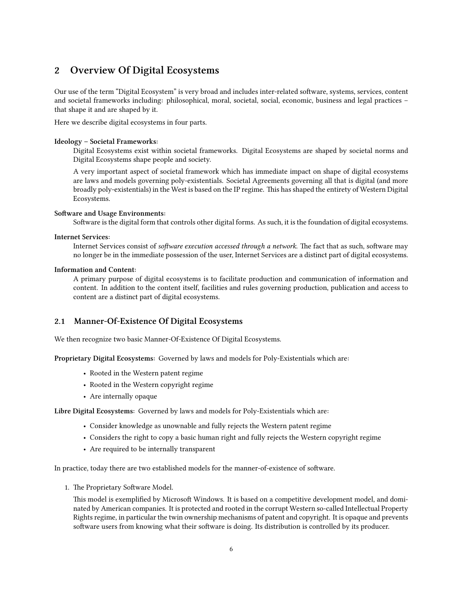# <span id="page-9-0"></span>**2 Overview Of Digital Ecosystems**

Our use of the term "Digital Ecosystem" is very broad and includes inter-related software, systems, services, content and societal frameworks including: philosophical, moral, societal, social, economic, business and legal practices – that shape it and are shaped by it.

Here we describe digital ecosystems in four parts.

#### **Ideology – Societal Frameworks:**

Digital Ecosystems exist within societal frameworks. Digital Ecosystems are shaped by societal norms and Digital Ecosystems shape people and society.

A very important aspect of societal framework which has immediate impact on shape of digital ecosystems are laws and models governing poly-existentials. Societal Agreements governing all that is digital (and more broadly poly-existentials) in the West is based on the IP regime. is has shaped the entirety of Western Digital Ecosystems.

#### **Software and Usage Environments:**

Software is the digital form that controls other digital forms. As such, it is the foundation of digital ecosystems.

#### **Internet Services:**

Internet Services consist of *software execution accessed through a network*. The fact that as such, software may no longer be in the immediate possession of the user, Internet Services are a distinct part of digital ecosystems.

#### **Information and Content:**

A primary purpose of digital ecosystems is to facilitate production and communication of information and content. In addition to the content itself, facilities and rules governing production, publication and access to content are a distinct part of digital ecosystems.

## <span id="page-9-1"></span>**2.1 Manner-Of-Existence Of Digital Ecosystems**

We then recognize two basic Manner-Of-Existence Of Digital Ecosystems.

**Proprietary Digital Ecosystems:** Governed by laws and models for Poly-Existentials which are:

- Rooted in the Western patent regime
- Rooted in the Western copyright regime
- Are internally opaque

**Libre Digital Ecosystems:** Governed by laws and models for Poly-Existentials which are:

- Consider knowledge as unownable and fully rejects the Western patent regime
- Considers the right to copy a basic human right and fully rejects the Western copyright regime
- Are required to be internally transparent

In practice, today there are two established models for the manner-of-existence of software.

1. The Proprietary Software Model.

This model is exemplified by Microsoft Windows. It is based on a competitive development model, and dominated by American companies. It is protected and rooted in the corrupt Western so-called Intellectual Property Rights regime, in particular the twin ownership mechanisms of patent and copyright. It is opaque and prevents software users from knowing what their software is doing. Its distribution is controlled by its producer.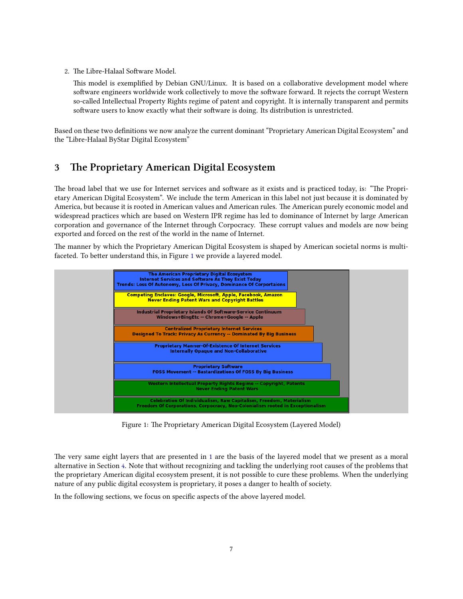2. The Libre-Halaal Software Model.

This model is exemplified by Debian GNU/Linux. It is based on a collaborative development model where software engineers worldwide work collectively to move the software forward. It rejects the corrupt Western so-called Intellectual Property Rights regime of patent and copyright. It is internally transparent and permits software users to know exactly what their software is doing. Its distribution is unrestricted.

Based on these two definitions we now analyze the current dominant "Proprietary American Digital Ecosystem" and the "Libre-Halaal ByStar Digital Ecosystem"

# <span id="page-10-0"></span>**3** The Proprietary American Digital Ecosystem

The broad label that we use for Internet services and software as it exists and is practiced today, is: "The Proprietary American Digital Ecosystem". We include the term American in this label not just because it is dominated by America, but because it is rooted in American values and American rules. The American purely economic model and widespread practices which are based on Western IPR regime has led to dominance of Internet by large American corporation and governance of the Internet through Corpocracy. These corrupt values and models are now being exported and forced on the rest of the world in the name of Internet.

e manner by which the Proprietary American Digital Ecosystem is shaped by American societal norms is multi-faceted. To better understand this, in Figure [1](#page-10-1) we provide a layered model.

<span id="page-10-1"></span>

Figure 1: The Proprietary American Digital Ecosystem (Layered Model)

The very same eight layers that are presented in [1](#page-10-1) are the basis of the layered model that we present as a moral alternative in Section [4](#page-12-0). Note that without recognizing and tackling the underlying root causes of the problems that the proprietary American digital ecosystem present, it is not possible to cure these problems. When the underlying nature of any public digital ecosystem is proprietary, it poses a danger to health of society.

In the following sections, we focus on specific aspects of the above layered model.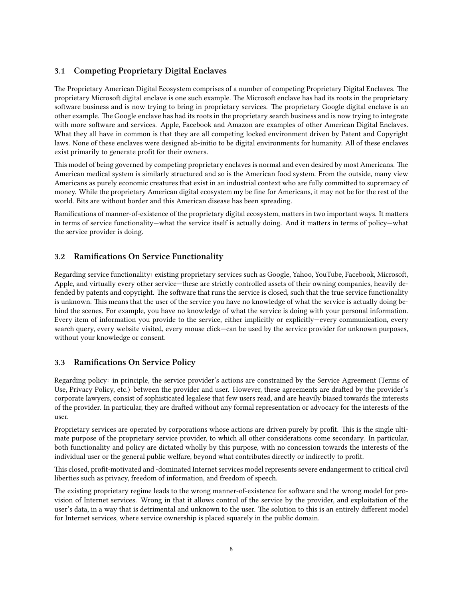# <span id="page-11-0"></span>**3.1 Competing Proprietary Digital Enclaves**

The Proprietary American Digital Ecosystem comprises of a number of competing Proprietary Digital Enclaves. The proprietary Microsoft digital enclave is one such example. The Microsoft enclave has had its roots in the proprietary software business and is now trying to bring in proprietary services. The proprietary Google digital enclave is an other example. The Google enclave has had its roots in the proprietary search business and is now trying to integrate with more software and services. Apple, Facebook and Amazon are examples of other American Digital Enclaves. What they all have in common is that they are all competing locked environment driven by Patent and Copyright laws. None of these enclaves were designed ab-initio to be digital environments for humanity. All of these enclaves exist primarily to generate profit for their owners.

This model of being governed by competing proprietary enclaves is normal and even desired by most Americans. The American medical system is similarly structured and so is the American food system. From the outside, many view Americans as purely economic creatures that exist in an industrial context who are fully committed to supremacy of money. While the proprietary American digital ecosystem my be fine for Americans, it may not be for the rest of the world. Bits are without border and this American disease has been spreading.

Ramifications of manner-of-existence of the proprietary digital ecosystem, matters in two important ways. It matters in terms of service functionality—what the service itself is actually doing. And it matters in terms of policy—what the service provider is doing.

## <span id="page-11-1"></span>**3.2 Ramifications On Service Functionality**

Regarding service functionality: existing proprietary services such as Google, Yahoo, YouTube, Facebook, Microsoft, Apple, and virtually every other service—these are strictly controlled assets of their owning companies, heavily defended by patents and copyright. The software that runs the service is closed, such that the true service functionality is unknown. This means that the user of the service you have no knowledge of what the service is actually doing behind the scenes. For example, you have no knowledge of what the service is doing with your personal information. Every item of information you provide to the service, either implicitly or explicitly—every communication, every search query, every website visited, every mouse click—can be used by the service provider for unknown purposes, without your knowledge or consent.

#### <span id="page-11-2"></span>**3.3 Ramifications On Service Policy**

Regarding policy: in principle, the service provider's actions are constrained by the Service Agreement (Terms of Use, Privacy Policy, etc.) between the provider and user. However, these agreements are drafted by the provider's corporate lawyers, consist of sophisticated legalese that few users read, and are heavily biased towards the interests of the provider. In particular, they are drafted without any formal representation or advocacy for the interests of the user.

Proprietary services are operated by corporations whose actions are driven purely by profit. This is the single ultimate purpose of the proprietary service provider, to which all other considerations come secondary. In particular, both functionality and policy are dictated wholly by this purpose, with no concession towards the interests of the individual user or the general public welfare, beyond what contributes directly or indirectly to profit.

This closed, profit-motivated and -dominated Internet services model represents severe endangerment to critical civil liberties such as privacy, freedom of information, and freedom of speech.

The existing proprietary regime leads to the wrong manner-of-existence for software and the wrong model for provision of Internet services. Wrong in that it allows control of the service by the provider, and exploitation of the user's data, in a way that is detrimental and unknown to the user. The solution to this is an entirely different model for Internet services, where service ownership is placed squarely in the public domain.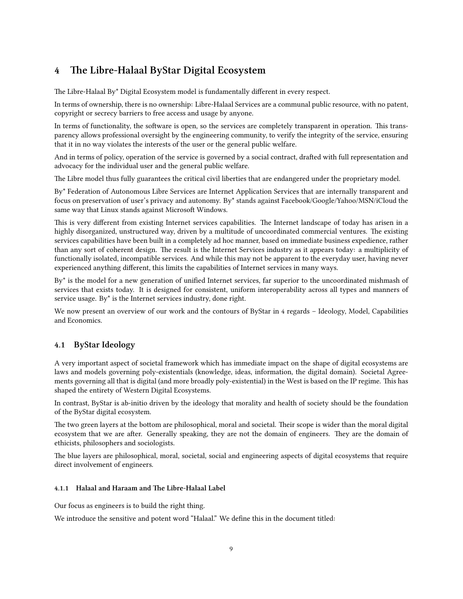# <span id="page-12-0"></span>**4 e Libre-Halaal ByStar Digital Ecosystem**

The Libre-Halaal By\* Digital Ecosystem model is fundamentally different in every respect.

In terms of ownership, there is no ownership: Libre-Halaal Services are a communal public resource, with no patent, copyright or secrecy barriers to free access and usage by anyone.

In terms of functionality, the software is open, so the services are completely transparent in operation. This transparency allows professional oversight by the engineering community, to verify the integrity of the service, ensuring that it in no way violates the interests of the user or the general public welfare.

And in terms of policy, operation of the service is governed by a social contract, drafted with full representation and advocacy for the individual user and the general public welfare.

The Libre model thus fully guarantees the critical civil liberties that are endangered under the proprietary model.

By\* Federation of Autonomous Libre Services are Internet Application Services that are internally transparent and focus on preservation of user's privacy and autonomy. By\* stands against Facebook/Google/Yahoo/MSN/iCloud the same way that Linux stands against Microsoft Windows.

This is very different from existing Internet services capabilities. The Internet landscape of today has arisen in a highly disorganized, unstructured way, driven by a multitude of uncoordinated commercial ventures. The existing services capabilities have been built in a completely ad hoc manner, based on immediate business expedience, rather than any sort of coherent design. The result is the Internet Services industry as it appears today: a multiplicity of functionally isolated, incompatible services. And while this may not be apparent to the everyday user, having never experienced anything different, this limits the capabilities of Internet services in many ways.

By\* is the model for a new generation of unified Internet services, far superior to the uncoordinated mishmash of services that exists today. It is designed for consistent, uniform interoperability across all types and manners of service usage. By\* is the Internet services industry, done right.

We now present an overview of our work and the contours of ByStar in 4 regards – Ideology, Model, Capabilities and Economics.

# <span id="page-12-1"></span>**4.1 ByStar Ideology**

A very important aspect of societal framework which has immediate impact on the shape of digital ecosystems are laws and models governing poly-existentials (knowledge, ideas, information, the digital domain). Societal Agreements governing all that is digital (and more broadly poly-existential) in the West is based on the IP regime. This has shaped the entirety of Western Digital Ecosystems.

In contrast, ByStar is ab-initio driven by the ideology that morality and health of society should be the foundation of the ByStar digital ecosystem.

The two green layers at the bottom are philosophical, moral and societal. Their scope is wider than the moral digital ecosystem that we are after. Generally speaking, they are not the domain of engineers. They are the domain of ethicists, philosophers and sociologists.

The blue layers are philosophical, moral, societal, social and engineering aspects of digital ecosystems that require direct involvement of engineers.

#### <span id="page-12-2"></span>4.1.1 Halaal and Haraam and The Libre-Halaal Label

Our focus as engineers is to build the right thing.

We introduce the sensitive and potent word "Halaal." We define this in the document titled: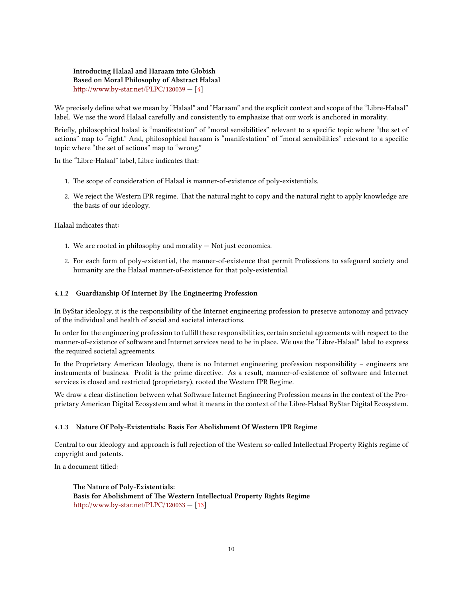**Introducing Halaal and Haraam into Globish Based on Moral Philosophy of Abstract Halaal** http://www.by-star.net/PLPC/120039 - [\[4](#page-32-1)]

We precisely define what we mean by "Halaal" and "Haraam" and the explicit context and scope of the "Libre-Halaal" label. We use the word Halaal carefully and consistently to emphasize that our work is anchored in morality.

Briefly, philosophical halaal is "manifestation" of "moral sensibilities" relevant to a specific topic where "the set of actions" map to "right." And, philosophical haraam is "manifestation" of "moral sensibilities" relevant to a specific topic where "the set of actions" map to "wrong."

In the "Libre-Halaal" label, Libre indicates that:

- 1. The scope of consideration of Halaal is manner-of-existence of poly-existentials.
- 2. We reject the Western IPR regime. That the natural right to copy and the natural right to apply knowledge are the basis of our ideology.

Halaal indicates that:

- 1. We are rooted in philosophy and morality Not just economics.
- 2. For each form of poly-existential, the manner-of-existence that permit Professions to safeguard society and humanity are the Halaal manner-of-existence for that poly-existential.

#### <span id="page-13-0"></span>4.1.2 Guardianship Of Internet By The Engineering Profession

In ByStar ideology, it is the responsibility of the Internet engineering profession to preserve autonomy and privacy of the individual and health of social and societal interactions.

In order for the engineering profession to fulfill these responsibilities, certain societal agreements with respect to the manner-of-existence of software and Internet services need to be in place. We use the "Libre-Halaal" label to express the required societal agreements.

In the Proprietary American Ideology, there is no Internet engineering profession responsibility – engineers are instruments of business. Profit is the prime directive. As a result, manner-of-existence of software and Internet services is closed and restricted (proprietary), rooted the Western IPR Regime.

We draw a clear distinction between what Software Internet Engineering Profession means in the context of the Proprietary American Digital Ecosystem and what it means in the context of the Libre-Halaal ByStar Digital Ecosystem.

#### <span id="page-13-1"></span>**4.1.3 Nature Of Poly-Existentials: Basis For Abolishment Of Western IPR Regime**

Central to our ideology and approach is full rejection of the Western so-called Intellectual Property Rights regime of copyright and patents.

In a document titled:

**e Nature of Poly-Existentials: Basis for Abolishment of The Western Intellectual Property Rights Regime** [hp://www.by-star.net/PLPC/120033](http://www.by-star.net/PLPC/120033) — [\[13\]](#page-33-0)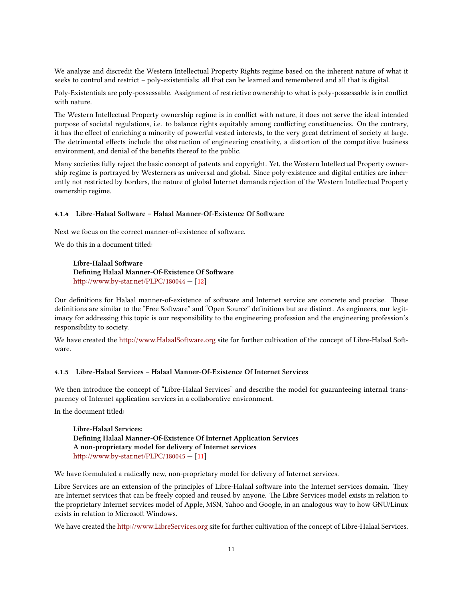We analyze and discredit the Western Intellectual Property Rights regime based on the inherent nature of what it seeks to control and restrict – poly-existentials: all that can be learned and remembered and all that is digital.

Poly-Existentials are poly-possessable. Assignment of restrictive ownership to what is poly-possessable is in conflict with nature.

The Western Intellectual Property ownership regime is in conflict with nature, it does not serve the ideal intended purpose of societal regulations, i.e. to balance rights equitably among conflicting constituencies. On the contrary, it has the effect of enriching a minority of powerful vested interests, to the very great detriment of society at large. The detrimental effects include the obstruction of engineering creativity, a distortion of the competitive business environment, and denial of the benefits thereof to the public.

Many societies fully reject the basic concept of patents and copyright. Yet, the Western Intellectual Property ownership regime is portrayed by Westerners as universal and global. Since poly-existence and digital entities are inherently not restricted by borders, the nature of global Internet demands rejection of the Western Intellectual Property ownership regime.

#### <span id="page-14-0"></span>**4.1.4 Libre-Halaal Soware – Halaal Manner-Of-Existence Of Soware**

Next we focus on the correct manner-of-existence of software.

We do this in a document titled:

Libre-Halaal Software **Defining Halaal Manner-Of-Existence Of Software** http://www.by-star.net/PLPC/180044 - [\[12\]](#page-32-2)

Our definitions for Halaal manner-of-existence of software and Internet service are concrete and precise. These definitions are similar to the "Free Software" and "Open Source" definitions but are distinct. As engineers, our legitimacy for addressing this topic is our responsibility to the engineering profession and the engineering profession's responsibility to society.

We have created the http://www.HalaalSoftware.org site for further cultivation of the concept of Libre-Halaal Software.

#### <span id="page-14-1"></span>**4.1.5 Libre-Halaal Services – Halaal Manner-Of-Existence Of Internet Services**

We then introduce the concept of "Libre-Halaal Services" and describe the model for guaranteeing internal transparency of Internet application services in a collaborative environment.

In the document titled:

**Libre-Halaal Services: Defining Halaal Manner-Of-Existence Of Internet Application Services A non-proprietary model for delivery of Internet services** [hp://www.by-star.net/PLPC/180045](http://www.by-star.net/PLPC/180045) — [\[11\]](#page-32-3)

We have formulated a radically new, non-proprietary model for delivery of Internet services.

Libre Services are an extension of the principles of Libre-Halaal software into the Internet services domain. They are Internet services that can be freely copied and reused by anyone. The Libre Services model exists in relation to the proprietary Internet services model of Apple, MSN, Yahoo and Google, in an analogous way to how GNU/Linux exists in relation to Microsoft Windows.

We have created the http://www.LibreServices.org site for further cultivation of the concept of Libre-Halaal Services.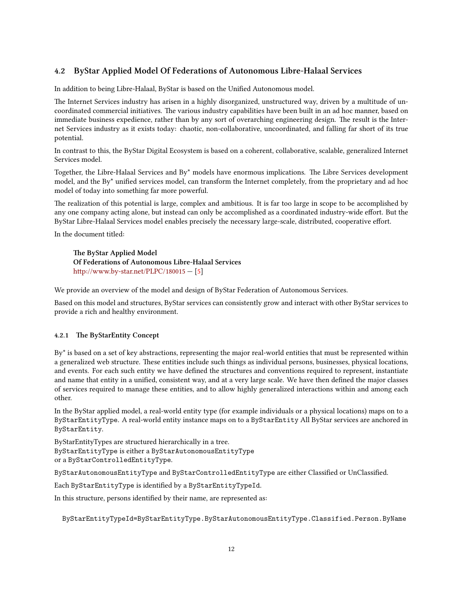# <span id="page-15-0"></span>**4.2 ByStar Applied Model Of Federations of Autonomous Libre-Halaal Services**

In addition to being Libre-Halaal, ByStar is based on the Unified Autonomous model.

e Internet Services industry has arisen in a highly disorganized, unstructured way, driven by a multitude of uncoordinated commercial initiatives. The various industry capabilities have been built in an ad hoc manner, based on immediate business expedience, rather than by any sort of overarching engineering design. The result is the Internet Services industry as it exists today: chaotic, non-collaborative, uncoordinated, and falling far short of its true potential.

In contrast to this, the ByStar Digital Ecosystem is based on a coherent, collaborative, scalable, generalized Internet Services model.

Together, the Libre-Halaal Services and By\* models have enormous implications. The Libre Services development model, and the By\* unified services model, can transform the Internet completely, from the proprietary and ad hoc model of today into something far more powerful.

The realization of this potential is large, complex and ambitious. It is far too large in scope to be accomplished by any one company acting alone, but instead can only be accomplished as a coordinated industry-wide effort. But the ByStar Libre-Halaal Services model enables precisely the necessary large-scale, distributed, cooperative effort.

In the document titled:

**e ByStar Applied Model Of Federations of Autonomous Libre-Halaal Services** http://www.by-star.net/PLPC/180015  $-$  [\[5](#page-32-4)]

We provide an overview of the model and design of ByStar Federation of Autonomous Services.

Based on this model and structures, ByStar services can consistently grow and interact with other ByStar services to provide a rich and healthy environment.

#### <span id="page-15-1"></span>**4.2.1 The ByStarEntity Concept**

By\* is based on a set of key abstractions, representing the major real-world entities that must be represented within a generalized web structure. These entities include such things as individual persons, businesses, physical locations, and events. For each such entity we have defined the structures and conventions required to represent, instantiate and name that entity in a unified, consistent way, and at a very large scale. We have then defined the major classes of services required to manage these entities, and to allow highly generalized interactions within and among each other.

In the ByStar applied model, a real-world entity type (for example individuals or a physical locations) maps on to a ByStarEntityType. A real-world entity instance maps on to a ByStarEntity All ByStar services are anchored in ByStarEntity.

ByStarEntityTypes are structured hierarchically in a tree. ByStarEntityType is either a ByStarAutonomousEntityType or a ByStarControlledEntityType.

ByStarAutonomousEntityType and ByStarControlledEntityType are either Classified or UnClassified.

Each ByStarEntityType is identified by a ByStarEntityTypeId.

In this structure, persons identified by their name, are represented as:

ByStarEntityTypeId=ByStarEntityType.ByStarAutonomousEntityType.Classified.Person.ByName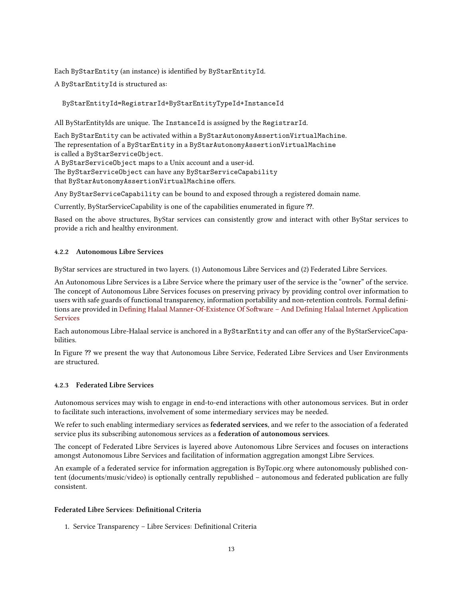Each ByStarEntity (an instance) is identified by ByStarEntityId.

A ByStarEntityId is structured as:

#### ByStarEntityId=RegistrarId+ByStarEntityTypeId+InstanceId

All ByStarEntityIds are unique. The InstanceId is assigned by the RegistrarId.

Each ByStarEntity can be activated within a ByStarAutonomyAssertionVirtualMachine. The representation of a ByStarEntity in a ByStarAutonomyAssertionVirtualMachine is called a ByStarServiceObject.

A ByStarServiceObject maps to a Unix account and a user-id.

The ByStarServiceObject can have any ByStarServiceCapability

that ByStarAutonomyAssertionVirtualMachine offers.

Any ByStarServiceCapability can be bound to and exposed through a registered domain name.

Currently, ByStarServiceCapability is one of the capabilities enumerated in figure ??.

Based on the above structures, ByStar services can consistently grow and interact with other ByStar services to provide a rich and healthy environment.

#### <span id="page-16-0"></span>**4.2.2 Autonomous Libre Services**

ByStar services are structured in two layers. (1) Autonomous Libre Services and (2) Federated Libre Services.

An Autonomous Libre Services is a Libre Service where the primary user of the service is the "owner" of the service. e concept of Autonomous Libre Services focuses on preserving privacy by providing control over information to users with safe guards of functional transparency, information portability and non-retention controls. Formal definitions are provided in Defining Halaal Manner-Of-Existence Of Software – And Defining Halaal Internet Application [Services](http://www.persoarabic.org/PLPC/120041)

Each autonomous Libre-Halaal service is anchored in a ByStarEntity and can offer any of the ByStarServiceCapabilities.

In Figure **⁇** we present the way that Autonomous Libre Service, Federated Libre Services and User Environments are structured.

#### <span id="page-16-1"></span>**4.2.3 Federated Libre Services**

Autonomous services may wish to engage in end-to-end interactions with other autonomous services. But in order to facilitate such interactions, involvement of some intermediary services may be needed.

We refer to such enabling intermediary services as **federated services**, and we refer to the association of a federated service plus its subscribing autonomous services as a **federation of autonomous services**.

The concept of Federated Libre Services is layered above Autonomous Libre Services and focuses on interactions amongst Autonomous Libre Services and facilitation of information aggregation amongst Libre Services.

An example of a federated service for information aggregation is ByTopic.org where autonomously published content (documents/music/video) is optionally centrally republished – autonomous and federated publication are fully consistent.

#### **Federated Libre Services: Definitional Criteria**

1. Service Transparency – Libre Services: Definitional Criteria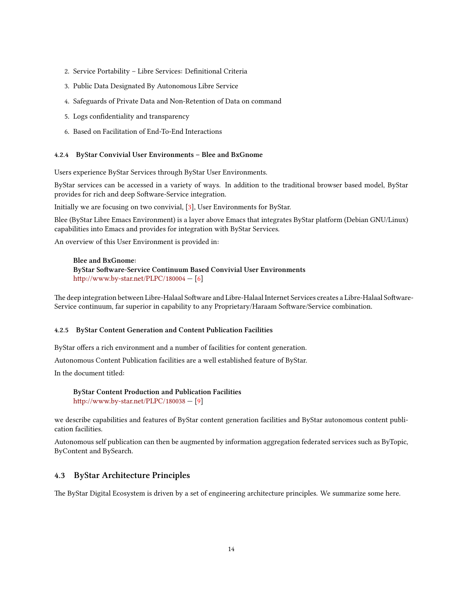- 2. Service Portability Libre Services: Definitional Criteria
- 3. Public Data Designated By Autonomous Libre Service
- 4. Safeguards of Private Data and Non-Retention of Data on command
- 5. Logs confidentiality and transparency
- 6. Based on Facilitation of End-To-End Interactions

#### <span id="page-17-0"></span>**4.2.4 ByStar Convivial User Environments – Blee and BxGnome**

Users experience ByStar Services through ByStar User Environments.

ByStar services can be accessed in a variety of ways. In addition to the traditional browser based model, ByStar provides for rich and deep Software-Service integration.

Initially we are focusing on two convivial,[[3](#page-32-5)], User Environments for ByStar.

Blee (ByStar Libre Emacs Environment) is a layer above Emacs that integrates ByStar platform (Debian GNU/Linux) capabilities into Emacs and provides for integration with ByStar Services.

An overview of this User Environment is provided in:

**Blee and BxGnome: ByStar Software-Service Continuum Based Convivial User Environments** http://www.by-star.net/PLPC/180004 - [\[6](#page-32-6)]

The deep integration between Libre-Halaal Software and Libre-Halaal Internet Services creates a Libre-Halaal Software-Service continuum, far superior in capability to any Proprietary/Haraam Software/Service combination.

#### <span id="page-17-1"></span>**4.2.5 ByStar Content Generation and Content Publication Facilities**

ByStar offers a rich environment and a number of facilities for content generation.

Autonomous Content Publication facilities are a well established feature of ByStar.

In the document titled:

**ByStar Content Production and Publication Facilities** [hp://www.by-star.net/PLPC/180038](http://www.by-star.net/PLPC/180038) — [\[9](#page-32-7)]

we describe capabilities and features of ByStar content generation facilities and ByStar autonomous content publication facilities.

Autonomous self publication can then be augmented by information aggregation federated services such as ByTopic, ByContent and BySearch.

#### <span id="page-17-2"></span>**4.3 ByStar Architecture Principles**

The ByStar Digital Ecosystem is driven by a set of engineering architecture principles. We summarize some here.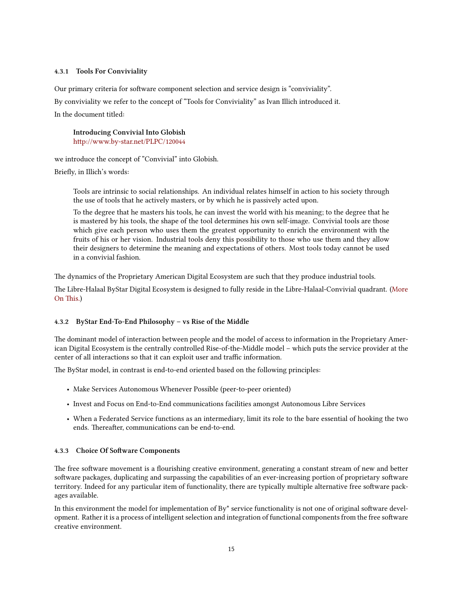#### <span id="page-18-0"></span>**4.3.1 Tools For Conviviality**

Our primary criteria for software component selection and service design is "conviviality".

By conviviality we refer to the concept of "Tools for Conviviality" as Ivan Illich introduced it.

In the document titled:

**Introducing Convivial Into Globish** http://www.by-star.net/PLPC/120044

we introduce the concept of "Convivial" into Globish.

Briefly, in Illich's words:

Tools are intrinsic to social relationships. An individual relates himself in action to his society through the use of tools that he actively masters, or by which he is passively acted upon.

To the degree that he masters his tools, he can invest the world with his meaning; to the degree that he is mastered by his tools, the shape of the tool determines his own self-image. Convivial tools are those which give each person who uses them the greatest opportunity to enrich the environment with the fruits of his or her vision. Industrial tools deny this possibility to those who use them and they allow their designers to determine the meaning and expectations of others. Most tools today cannot be used in a convivial fashion.

The dynamics of the Proprietary American Digital Ecosystem are such that they produce industrial tools.

e Libre-Halaal ByStar Digital Ecosystem is designed to fully reside in the Libre-Halaal-Convivial quadrant. [\(More](http://www.by-star.net/PLPC/120044) On This.)

#### <span id="page-18-1"></span>**4.3.2 ByStar End-To-End Philosophy – vs Rise of the Middle**

The dominant model of interaction between people and the model of access to information in the Proprietary American Digital Ecosystem is the centrally controlled Rise-of-the-Middle model – which puts the service provider at the center of all interactions so that it can exploit user and traffic information.

The ByStar model, in contrast is end-to-end oriented based on the following principles:

- Make Services Autonomous Whenever Possible (peer-to-peer oriented)
- Invest and Focus on End-to-End communications facilities amongst Autonomous Libre Services
- When a Federated Service functions as an intermediary, limit its role to the bare essential of hooking the two ends. Thereafter, communications can be end-to-end.

#### <span id="page-18-2"></span>4.3.3 Choice Of Software Components

The free software movement is a flourishing creative environment, generating a constant stream of new and better software packages, duplicating and surpassing the capabilities of an ever-increasing portion of proprietary software territory. Indeed for any particular item of functionality, there are typically multiple alternative free software packages available.

In this environment the model for implementation of By\* service functionality is not one of original software development. Rather it is a process of intelligent selection and integration of functional components from the free software creative environment.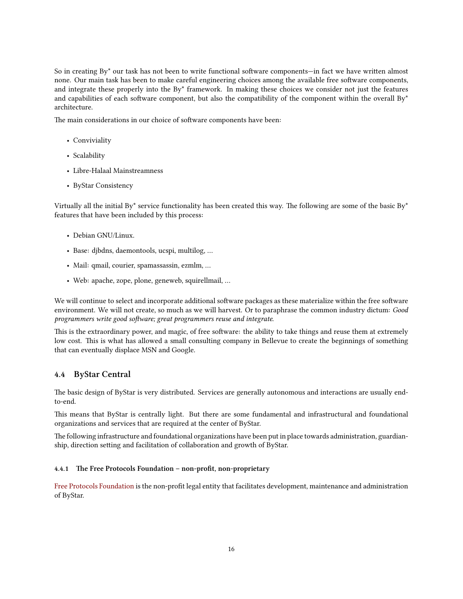So in creating By\* our task has not been to write functional software components—in fact we have written almost none. Our main task has been to make careful engineering choices among the available free software components, and integrate these properly into the By\* framework. In making these choices we consider not just the features and capabilities of each software component, but also the compatibility of the component within the overall  $By^*$ architecture.

The main considerations in our choice of software components have been:

- Conviviality
- Scalability
- Libre-Halaal Mainstreamness
- ByStar Consistency

Virtually all the initial By<sup>\*</sup> service functionality has been created this way. The following are some of the basic By<sup>\*</sup> features that have been included by this process:

- Debian GNU/Linux.
- Base: djbdns, daemontools, ucspi, multilog, …
- Mail: qmail, courier, spamassassin, ezmlm, …
- Web: apache, zope, plone, geneweb, squirellmail, …

We will continue to select and incorporate additional software packages as these materialize within the free software environment. We will not create, so much as we will harvest. Or to paraphrase the common industry dictum: *Good programmers write good software; great programmers reuse and integrate.* 

This is the extraordinary power, and magic, of free software: the ability to take things and reuse them at extremely low cost. This is what has allowed a small consulting company in Bellevue to create the beginnings of something that can eventually displace MSN and Google.

## <span id="page-19-0"></span>**4.4 ByStar Central**

The basic design of ByStar is very distributed. Services are generally autonomous and interactions are usually endto-end.

This means that ByStar is centrally light. But there are some fundamental and infrastructural and foundational organizations and services that are required at the center of ByStar.

The following infrastructure and foundational organizations have been put in place towards administration, guardianship, direction setting and facilitation of collaboration and growth of ByStar.

#### <span id="page-19-1"></span>**4.4.1 e Free Protocols Foundation – non-profit, non-proprietary**

[Free Protocols Foundation](http://www.freeprotocols.org/) is the non-profit legal entity that facilitates development, maintenance and administration of ByStar.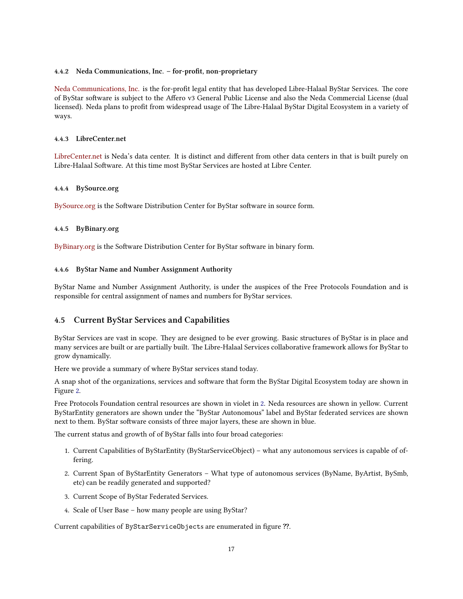#### <span id="page-20-0"></span>**4.4.2 Neda Communications, Inc. – for-profit, non-proprietary**

[Neda Communications, Inc.](http://www.neda.com/) is the for-profit legal entity that has developed Libre-Halaal ByStar Services. The core of ByStar software is subject to the Affero v3 General Public License and also the Neda Commercial License (dual licensed). Neda plans to profit from widespread usage of The Libre-Halaal ByStar Digital Ecosystem in a variety of ways.

#### <span id="page-20-1"></span>**4.4.3 LibreCenter.net**

[LibreCenter.net](http://www.LibreCenter.net/) is Neda's data center. It is distinct and different from other data centers in that is built purely on Libre-Halaal Software. At this time most ByStar Services are hosted at Libre Center.

#### <span id="page-20-2"></span>**4.4.4 BySource.org**

[BySource.org](http://www.BySource.org/) is the Software Distribution Center for ByStar software in source form.

#### <span id="page-20-3"></span>**4.4.5 ByBinary.org**

[ByBinary.org](http://www.ByBinary.org/) is the Software Distribution Center for ByStar software in binary form.

#### <span id="page-20-4"></span>**4.4.6 ByStar Name and Number Assignment Authority**

ByStar Name and Number Assignment Authority, is under the auspices of the Free Protocols Foundation and is responsible for central assignment of names and numbers for ByStar services.

# <span id="page-20-5"></span>**4.5 Current ByStar Services and Capabilities**

ByStar Services are vast in scope. They are designed to be ever growing. Basic structures of ByStar is in place and many services are built or are partially built. The Libre-Halaal Services collaborative framework allows for ByStar to grow dynamically.

Here we provide a summary of where ByStar services stand today.

A snap shot of the organizations, services and software that form the ByStar Digital Ecosystem today are shown in Figure [2.](#page-23-2)

Free Protocols Foundation central resources are shown in violet in [2](#page-23-2). Neda resources are shown in yellow. Current ByStarEntity generators are shown under the "ByStar Autonomous" label and ByStar federated services are shown next to them. ByStar software consists of three major layers, these are shown in blue.

The current status and growth of of ByStar falls into four broad categories:

- 1. Current Capabilities of ByStarEntity (ByStarServiceObject) what any autonomous services is capable of offering.
- 2. Current Span of ByStarEntity Generators What type of autonomous services (ByName, ByArtist, BySmb, etc) can be readily generated and supported?
- 3. Current Scope of ByStar Federated Services.
- 4. Scale of User Base how many people are using ByStar?

Current capabilities of ByStarServiceObjects are enumerated in figure ??.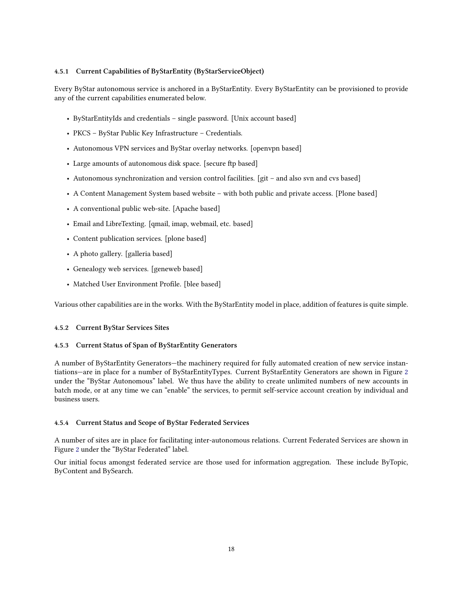#### <span id="page-21-0"></span>**4.5.1 Current Capabilities of ByStarEntity (ByStarServiceObject)**

Every ByStar autonomous service is anchored in a ByStarEntity. Every ByStarEntity can be provisioned to provide any of the current capabilities enumerated below.

- ByStarEntityIds and credentials single password. [Unix account based]
- PKCS ByStar Public Key Infrastructure Credentials.
- Autonomous VPN services and ByStar overlay networks. [openvpn based]
- Large amounts of autonomous disk space. [secure ftp based]
- Autonomous synchronization and version control facilities. [git and also svn and cvs based]
- A Content Management System based website with both public and private access. [Plone based]
- A conventional public web-site. [Apache based]
- Email and LibreTexting. [qmail, imap, webmail, etc. based]
- Content publication services. [plone based]
- A photo gallery. [galleria based]
- Genealogy web services. [geneweb based]
- Matched User Environment Profile. [blee based]

Various other capabilities are in the works. With the ByStarEntity model in place, addition of features is quite simple.

#### <span id="page-21-1"></span>**4.5.2 Current ByStar Services Sites**

#### <span id="page-21-2"></span>**4.5.3 Current Status of Span of ByStarEntity Generators**

A number of ByStarEntity Generators—the machinery required for fully automated creation of new service instantiations—are in place for a number of ByStarEntityTypes. Current ByStarEntity Generators are shown in Figure [2](#page-23-2) under the "ByStar Autonomous" label. We thus have the ability to create unlimited numbers of new accounts in batch mode, or at any time we can "enable" the services, to permit self-service account creation by individual and business users.

#### <span id="page-21-3"></span>**4.5.4 Current Status and Scope of ByStar Federated Services**

A number of sites are in place for facilitating inter-autonomous relations. Current Federated Services are shown in Figure [2](#page-23-2) under the "ByStar Federated" label.

Our initial focus amongst federated service are those used for information aggregation. These include ByTopic, ByContent and BySearch.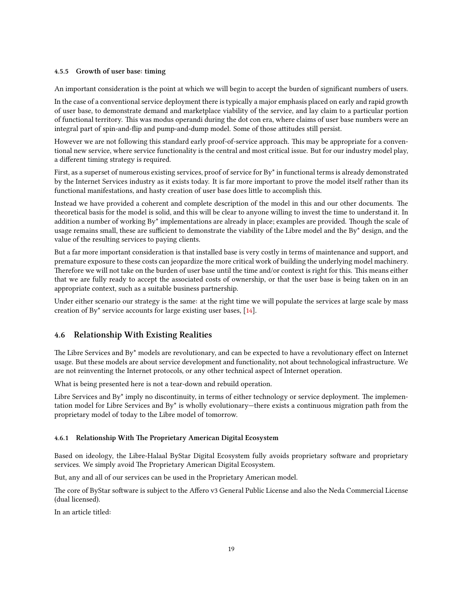#### <span id="page-22-0"></span>**4.5.5 Growth of user base: timing**

An important consideration is the point at which we will begin to accept the burden of significant numbers of users.

In the case of a conventional service deployment there is typically a major emphasis placed on early and rapid growth of user base, to demonstrate demand and marketplace viability of the service, and lay claim to a particular portion of functional territory. This was modus operandi during the dot con era, where claims of user base numbers were an integral part of spin-and-flip and pump-and-dump model. Some of those attitudes still persist.

However we are not following this standard early proof-of-service approach. This may be appropriate for a conventional new service, where service functionality is the central and most critical issue. But for our industry model play, a different timing strategy is required.

First, as a superset of numerous existing services, proof of service for By\* in functional terms is already demonstrated by the Internet Services industry as it exists today. It is far more important to prove the model itself rather than its functional manifestations, and hasty creation of user base does little to accomplish this.

Instead we have provided a coherent and complete description of the model in this and our other documents. The theoretical basis for the model is solid, and this will be clear to anyone willing to invest the time to understand it. In addition a number of working By\* implementations are already in place; examples are provided. Though the scale of usage remains small, these are sufficient to demonstrate the viability of the Libre model and the By\* design, and the value of the resulting services to paying clients.

But a far more important consideration is that installed base is very costly in terms of maintenance and support, and premature exposure to these costs can jeopardize the more critical work of building the underlying model machinery. Therefore we will not take on the burden of user base until the time and/or context is right for this. This means either that we are fully ready to accept the associated costs of ownership, or that the user base is being taken on in an appropriate context, such as a suitable business partnership.

Under either scenario our strategy is the same: at the right time we will populate the services at large scale by mass creation of By\* service accounts for large existing user bases, [\[14\]](#page-33-1).

#### <span id="page-22-1"></span>**4.6 Relationship With Existing Realities**

The Libre Services and By\* models are revolutionary, and can be expected to have a revolutionary effect on Internet usage. But these models are about service development and functionality, not about technological infrastructure. We are not reinventing the Internet protocols, or any other technical aspect of Internet operation.

What is being presented here is not a tear-down and rebuild operation.

Libre Services and By<sup>\*</sup> imply no discontinuity, in terms of either technology or service deployment. The implementation model for Libre Services and By\* is wholly evolutionary—there exists a continuous migration path from the proprietary model of today to the Libre model of tomorrow.

#### <span id="page-22-2"></span>**4.6.1 Relationship With The Proprietary American Digital Ecosystem**

Based on ideology, the Libre-Halaal ByStar Digital Ecosystem fully avoids proprietary software and proprietary services. We simply avoid The Proprietary American Digital Ecosystem.

But, any and all of our services can be used in the Proprietary American model.

The core of ByStar software is subject to the Affero v3 General Public License and also the Neda Commercial License (dual licensed).

In an article titled: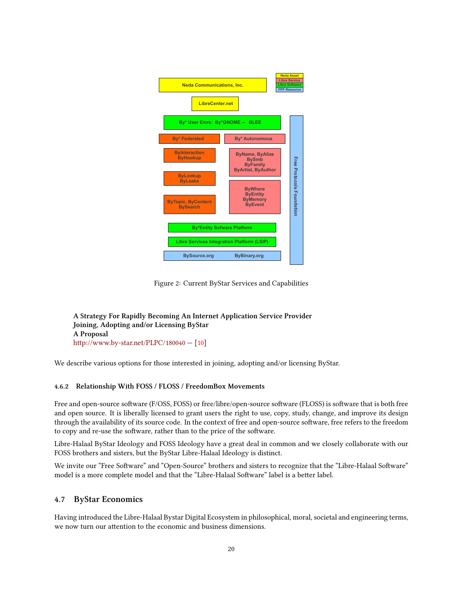<span id="page-23-2"></span>

Figure 2: Current ByStar Services and Capabilities

**A Strategy For Rapidly Becoming An Internet Application Service Provider Joining, Adopting and/or Licensing ByStar A Proposal** http://www.by-star.net/PLPC/180040 - [\[10\]](#page-32-8)

We describe various options for those interested in joining, adopting and/or licensing ByStar.

#### <span id="page-23-0"></span>**4.6.2 Relationship With FOSS / FLOSS / FreedomBox Movements**

Free and open-source software (F/OSS, FOSS) or free/libre/open-source software (FLOSS) is software that is both free and open source. It is liberally licensed to grant users the right to use, copy, study, change, and improve its design through the availability of its source code. In the context of free and open-source software, free refers to the freedom to copy and re-use the software, rather than to the price of the software.

Libre-Halaal ByStar Ideology and FOSS Ideology have a great deal in common and we closely collaborate with our FOSS brothers and sisters, but the ByStar Libre-Halaal Ideology is distinct.

We invite our "Free Software" and "Open-Source" brothers and sisters to recognize that the "Libre-Halaal Software" model is a more complete model and that the "Libre-Halaal Software" label is a better label.

## <span id="page-23-1"></span>**4.7 ByStar Economics**

Having introduced the Libre-Halaal Bystar Digital Ecosystem in philosophical, moral, societal and engineering terms, we now turn our attention to the economic and business dimensions.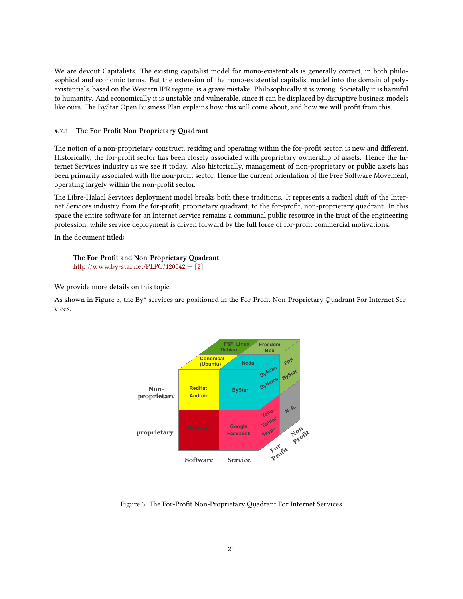We are devout Capitalists. The existing capitalist model for mono-existentials is generally correct, in both philosophical and economic terms. But the extension of the mono-existential capitalist model into the domain of polyexistentials, based on the Western IPR regime, is a grave mistake. Philosophically it is wrong. Societally it is harmful to humanity. And economically it is unstable and vulnerable, since it can be displaced by disruptive business models like ours. The ByStar Open Business Plan explains how this will come about, and how we will profit from this.

#### <span id="page-24-0"></span>4.7.1 The For-Profit Non-Proprietary Quadrant

The notion of a non-proprietary construct, residing and operating within the for-profit sector, is new and different. Historically, the for-profit sector has been closely associated with proprietary ownership of assets. Hence the Internet Services industry as we see it today. Also historically, management of non-proprietary or public assets has been primarily associated with the non-profit sector. Hence the current orientation of the Free Software Movement, operating largely within the non-profit sector.

The Libre-Halaal Services deployment model breaks both these traditions. It represents a radical shift of the Internet Services industry from the for-profit, proprietary quadrant, to the for-profit, non-proprietary quadrant. In this space the entire software for an Internet service remains a communal public resource in the trust of the engineering profession, while service deployment is driven forward by the full force of for-profit commercial motivations.

In the document titled:

#### **The For-Profit and Non-Proprietary Ouadrant** http://www.by-star.net/PLPC/120042 -  $[2]$

We provide more details on this topic.

<span id="page-24-1"></span>As shown in Figure [3,](#page-24-1) the By\* services are positioned in the For-Profit Non-Proprietary Quadrant For Internet Services.



Figure 3: The For-Profit Non-Proprietary Quadrant For Internet Services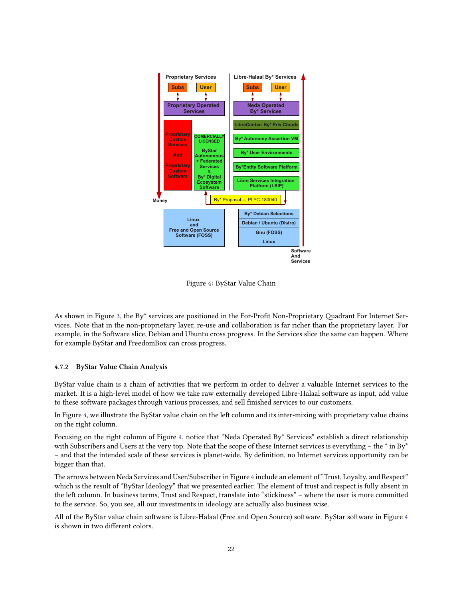<span id="page-25-1"></span>

Figure 4: ByStar Value Chain

As shown in Figure [3,](#page-24-1) the By\* services are positioned in the For-Profit Non-Proprietary Quadrant For Internet Services. Note that in the non-proprietary layer, re-use and collaboration is far richer than the proprietary layer. For example, in the Software slice, Debian and Ubuntu cross progress. In the Services slice the same can happen. Where for example ByStar and FreedomBox can cross progress.

#### <span id="page-25-0"></span>**4.7.2 ByStar Value Chain Analysis**

ByStar value chain is a chain of activities that we perform in order to deliver a valuable Internet services to the market. It is a high-level model of how we take raw externally developed Libre-Halaal software as input, add value to these software packages through various processes, and sell finished services to our customers.

In Figure [4,](#page-25-1) we illustrate the ByStar value chain on the left column and its inter-mixing with proprietary value chains on the right column.

Focusing on the right column of Figure [4,](#page-25-1) notice that "Neda Operated By\* Services" establish a direct relationship with Subscribers and Users at the very top. Note that the scope of these Internet services is everything – the  $*$  in By $*$ – and that the intended scale of these services is planet-wide. By definition, no Internet services opportunity can be bigger than that.

The arrows between Neda Services and User/Subscriber in Figure [4](#page-25-1) include an element of "Trust, Loyalty, and Respect" which is the result of "ByStar Ideology" that we presented earlier. The element of trust and respect is fully absent in the left column. In business terms, Trust and Respect, translate into "stickiness" – where the user is more committed to the service. So, you see, all our investments in ideology are actually also business wise.

All of the ByStar value chain software is Libre-Halaal (Free and Open Source) software. ByStar software in Figure [4](#page-25-1) is shown in two different colors.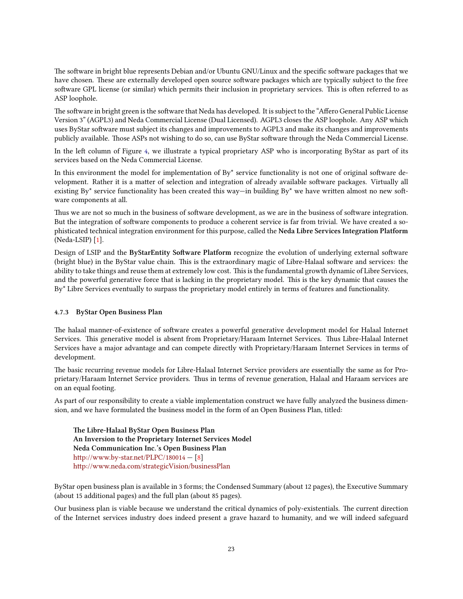The software in bright blue represents Debian and/or Ubuntu GNU/Linux and the specific software packages that we have chosen. These are externally developed open source software packages which are typically subject to the free software GPL license (or similar) which permits their inclusion in proprietary services. This is often referred to as ASP loophole.

The software in bright green is the software that Neda has developed. It is subject to the "Affero General Public License Version 3" (AGPL3) and Neda Commercial License (Dual Licensed). AGPL3 closes the ASP loophole. Any ASP which uses ByStar software must subject its changes and improvements to AGPL3 and make its changes and improvements publicly available. Those ASPs not wishing to do so, can use ByStar software through the Neda Commercial License.

In the left column of Figure [4](#page-25-1), we illustrate a typical proprietary ASP who is incorporating ByStar as part of its services based on the Neda Commercial License.

In this environment the model for implementation of By\* service functionality is not one of original software development. Rather it is a matter of selection and integration of already available software packages. Virtually all existing By\* service functionality has been created this way—in building By\* we have written almost no new software components at all.

Thus we are not so much in the business of software development, as we are in the business of software integration. But the integration of software components to produce a coherent service is far from trivial. We have created a sophisticated technical integration environment for this purpose, called the **Neda Libre Services Integration Platform** (Neda-LSIP) [\[1](#page-32-10)].

Design of LSIP and the ByStarEntity Software Platform recognize the evolution of underlying external software (bright blue) in the ByStar value chain. This is the extraordinary magic of Libre-Halaal software and services: the ability to take things and reuse them at extremely low cost. This is the fundamental growth dynamic of Libre Services, and the powerful generative force that is lacking in the proprietary model. This is the key dynamic that causes the By\* Libre Services eventually to surpass the proprietary model entirely in terms of features and functionality.

#### <span id="page-26-0"></span>**4.7.3 ByStar Open Business Plan**

The halaal manner-of-existence of software creates a powerful generative development model for Halaal Internet Services. This generative model is absent from Proprietary/Haraam Internet Services. Thus Libre-Halaal Internet Services have a major advantage and can compete directly with Proprietary/Haraam Internet Services in terms of development.

The basic recurring revenue models for Libre-Halaal Internet Service providers are essentially the same as for Proprietary/Haraam Internet Service providers. Thus in terms of revenue generation, Halaal and Haraam services are on an equal footing.

As part of our responsibility to create a viable implementation construct we have fully analyzed the business dimension, and we have formulated the business model in the form of an Open Business Plan, titled:

**e Libre-Halaal ByStar Open Business Plan An Inversion to the Proprietary Internet Services Model Neda Communication Inc.'s Open Business Plan** http://www.by-star.net/PLPC/180014  $-$  [\[8](#page-32-11)] [hp://www.neda.com/strategicVision/businessPlan](http://www.neda.com/strategicVision/businessPlan)

ByStar open business plan is available in 3 forms; the Condensed Summary (about 12 pages), the Executive Summary (about 15 additional pages) and the full plan (about 85 pages).

Our business plan is viable because we understand the critical dynamics of poly-existentials. The current direction of the Internet services industry does indeed present a grave hazard to humanity, and we will indeed safeguard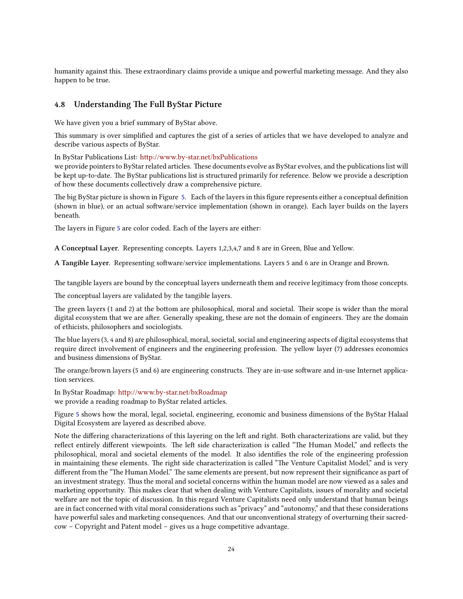humanity against this. These extraordinary claims provide a unique and powerful marketing message. And they also happen to be true.

## <span id="page-27-0"></span>**4.8 Understanding The Full ByStar Picture**

We have given you a brief summary of ByStar above.

This summary is over simplified and captures the gist of a series of articles that we have developed to analyze and describe various aspects of ByStar.

In ByStar Publications List: http://www.by-star.net/bxPublications

we provide pointers to ByStar related articles. These documents evolve as ByStar evolves, and the publications list will be kept up-to-date. The ByStar publications list is structured primarily for reference. Below we provide a description of how these documents collectively draw a comprehensive picture.

e big ByStar picture is shown in Figure [5](#page-28-1). Each of the layers in this figure represents either a conceptual definition (shown in blue), or an actual software/service implementation (shown in orange). Each layer builds on the layers beneath.

The layers in Figure [5](#page-28-1) are color coded. Each of the layers are either:

**A Conceptual Layer.** Representing concepts. Layers 1,2,3,4,7 and 8 are in Green, Blue and Yellow.

A Tangible Layer. Representing software/service implementations. Layers 5 and 6 are in Orange and Brown.

The tangible layers are bound by the conceptual layers underneath them and receive legitimacy from those concepts.

The conceptual layers are validated by the tangible layers.

The green layers (1 and 2) at the bottom are philosophical, moral and societal. Their scope is wider than the moral digital ecosystem that we are after. Generally speaking, these are not the domain of engineers. They are the domain of ethicists, philosophers and sociologists.

e blue layers (3, 4 and 8) are philosophical, moral, societal, social and engineering aspects of digital ecosystems that require direct involvement of engineers and the engineering profession. The yellow layer (7) addresses economics and business dimensions of ByStar.

The orange/brown layers (5 and 6) are engineering constructs. They are in-use software and in-use Internet application services.

In ByStar Roadmap: http://www.by-star.net/bxRoadmap we provide a reading roadmap to ByStar related articles.

Figure [5](#page-28-1) shows how the moral, legal, societal, engineering, economic and business dimensions of the ByStar Halaal Digital Ecosystem are layered as described above.

Note the differing characterizations of this layering on the left and right. Both characterizations are valid, but they reflect entirely different viewpoints. The left side characterization is called "The Human Model," and reflects the philosophical, moral and societal elements of the model. It also identifies the role of the engineering profession in maintaining these elements. The right side characterization is called "The Venture Capitalist Model," and is very different from the "The Human Model." The same elements are present, but now represent their significance as part of an investment strategy. Thus the moral and societal concerns within the human model are now viewed as a sales and marketing opportunity. This makes clear that when dealing with Venture Capitalists, issues of morality and societal welfare are not the topic of discussion. In this regard Venture Capitalists need only understand that human beings are in fact concerned with vital moral considerations such as "privacy" and "autonomy," and that these considerations have powerful sales and marketing consequences. And that our unconventional strategy of overturning their sacredcow – Copyright and Patent model – gives us a huge competitive advantage.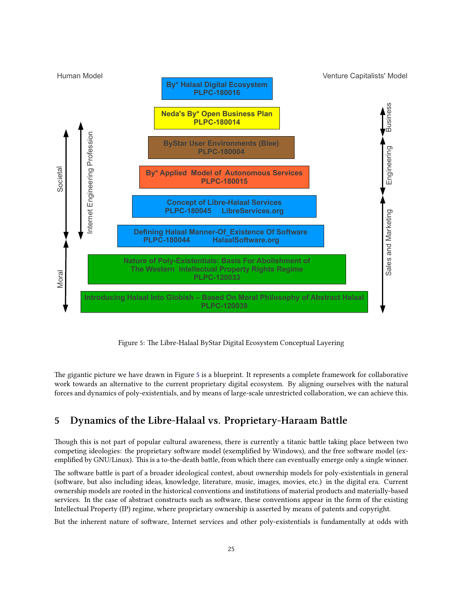<span id="page-28-1"></span>

Figure 5: The Libre-Halaal ByStar Digital Ecosystem Conceptual Layering

The gigantic picture we have drawn in Figure [5](#page-28-1) is a blueprint. It represents a complete framework for collaborative work towards an alternative to the current proprietary digital ecosystem. By aligning ourselves with the natural forces and dynamics of poly-existentials, and by means of large-scale unrestricted collaboration, we can achieve this.

# <span id="page-28-0"></span>**5 Dynamics of the Libre-Halaal vs. Proprietary-Haraam Battle**

Though this is not part of popular cultural awareness, there is currently a titanic battle taking place between two competing ideologies: the proprietary software model (exemplified by Windows), and the free software model (exemplified by GNU/Linux). This is a to-the-death battle, from which there can eventually emerge only a single winner.

The software battle is part of a broader ideological contest, about ownership models for poly-existentials in general (software, but also including ideas, knowledge, literature, music, images, movies, etc.) in the digital era. Current ownership models are rooted in the historical conventions and institutions of material products and materially-based services. In the case of abstract constructs such as software, these conventions appear in the form of the existing Intellectual Property (IP) regime, where proprietary ownership is asserted by means of patents and copyright.

But the inherent nature of software, Internet services and other poly-existentials is fundamentally at odds with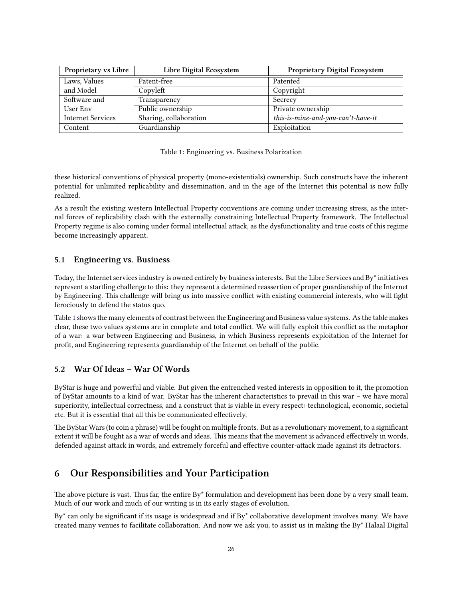<span id="page-29-3"></span>

| <b>Proprietary vs Libre</b> | Libre Digital Ecosystem | <b>Proprietary Digital Ecosystem</b> |  |
|-----------------------------|-------------------------|--------------------------------------|--|
| Laws, Values                | Patent-free             | Patented                             |  |
| and Model                   | Copyleft                | Copyright                            |  |
| Software and                | Transparency            | Secrecy                              |  |
| User Env                    | Public ownership        | Private ownership                    |  |
| <b>Internet Services</b>    | Sharing, collaboration  | this-is-mine-and-you-can't-have-it   |  |
| Content                     | Guardianship            | Exploitation                         |  |

|  | Table 1: Engineering vs. Business Polarization |  |  |  |
|--|------------------------------------------------|--|--|--|
|--|------------------------------------------------|--|--|--|

these historical conventions of physical property (mono-existentials) ownership. Such constructs have the inherent potential for unlimited replicability and dissemination, and in the age of the Internet this potential is now fully realized.

As a result the existing western Intellectual Property conventions are coming under increasing stress, as the internal forces of replicability clash with the externally constraining Intellectual Property framework. The Intellectual Property regime is also coming under formal intellectual attack, as the dysfunctionality and true costs of this regime become increasingly apparent.

### <span id="page-29-0"></span>**5.1 Engineering vs. Business**

Today, the Internet services industry is owned entirely by business interests. But the Libre Services and By\* initiatives represent a startling challenge to this: they represent a determined reassertion of proper guardianship of the Internet by Engineering. This challenge will bring us into massive conflict with existing commercial interests, who will fight ferociously to defend the status quo.

Table [1](#page-29-3) shows the many elements of contrast between the Engineering and Business value systems. As the table makes clear, these two values systems are in complete and total conflict. We will fully exploit this conflict as the metaphor of a war: a war between Engineering and Business, in which Business represents exploitation of the Internet for profit, and Engineering represents guardianship of the Internet on behalf of the public.

### <span id="page-29-1"></span>**5.2 War Of Ideas – War Of Words**

ByStar is huge and powerful and viable. But given the entrenched vested interests in opposition to it, the promotion of ByStar amounts to a kind of war. ByStar has the inherent characteristics to prevail in this war – we have moral superiority, intellectual correctness, and a construct that is viable in every respect: technological, economic, societal etc. But it is essential that all this be communicated effectively.

The ByStar Wars (to coin a phrase) will be fought on multiple fronts. But as a revolutionary movement, to a significant extent it will be fought as a war of words and ideas. This means that the movement is advanced effectively in words, defended against attack in words, and extremely forceful and effective counter-attack made against its detractors.

# <span id="page-29-2"></span>**6 Our Responsibilities and Your Participation**

The above picture is vast. Thus far, the entire By\* formulation and development has been done by a very small team. Much of our work and much of our writing is in its early stages of evolution.

By\* can only be significant if its usage is widespread and if By\* collaborative development involves many. We have created many venues to facilitate collaboration. And now we ask you, to assist us in making the By\* Halaal Digital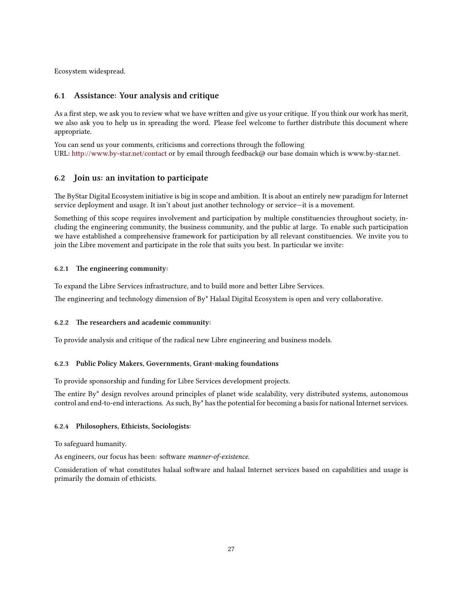Ecosystem widespread.

## <span id="page-30-0"></span>**6.1 Assistance: Your analysis and critique**

As a first step, we ask you to review what we have written and give us your critique. If you think our work has merit, we also ask you to help us in spreading the word. Please feel welcome to further distribute this document where appropriate.

You can send us your comments, criticisms and corrections through the following URL: http://www.by-star.net/contact or by email through feedback@ our base domain which is www.by-star.net.

## <span id="page-30-1"></span>**6.2 Join us: an invitation to participate**

The ByStar Digital Ecosystem initiative is big in scope and ambition. It is about an entirely new paradigm for Internet service deployment and usage. It isn't about just another technology or service—it is a movement.

Something of this scope requires involvement and participation by multiple constituencies throughout society, including the engineering community, the business community, and the public at large. To enable such participation we have established a comprehensive framework for participation by all relevant constituencies. We invite you to join the Libre movement and participate in the role that suits you best. In particular we invite:

#### <span id="page-30-2"></span>**6.2.1** The engineering community:

To expand the Libre Services infrastructure, and to build more and better Libre Services.

The engineering and technology dimension of By\* Halaal Digital Ecosystem is open and very collaborative.

#### <span id="page-30-3"></span>**6.2.2** The researchers and academic community:

To provide analysis and critique of the radical new Libre engineering and business models.

#### <span id="page-30-4"></span>**6.2.3 Public Policy Makers, Governments, Grant-making foundations**

To provide sponsorship and funding for Libre Services development projects.

The entire By<sup>\*</sup> design revolves around principles of planet wide scalability, very distributed systems, autonomous control and end-to-end interactions. As such, By\* has the potential for becoming a basis for national Internet services.

#### <span id="page-30-5"></span>**6.2.4 Philosophers, Ethicists, Sociologists:**

To safeguard humanity.

As engineers, our focus has been: software *manner-of-existence*.

Consideration of what constitutes halaal software and halaal Internet services based on capabilities and usage is primarily the domain of ethicists.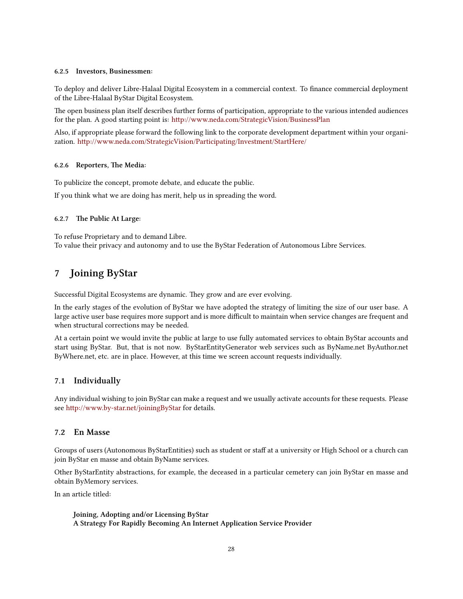#### <span id="page-31-0"></span>**6.2.5 Investors, Businessmen:**

To deploy and deliver Libre-Halaal Digital Ecosystem in a commercial context. To finance commercial deployment of the Libre-Halaal ByStar Digital Ecosystem.

The open business plan itself describes further forms of participation, appropriate to the various intended audiences for the plan. A good starting point is: http://www.neda.com/StrategicVision/BusinessPlan

Also, if appropriate please forward the following link to the corporate development department within your organization. http://www.neda.com/StrategicVision/Participating/Investment/StartHere/

#### <span id="page-31-1"></span>**6.2.6 Reporters, The Media:**

To publicize the concept, promote debate, and educate the public.

If you think what we are doing has merit, help us in spreading the word.

#### <span id="page-31-2"></span>**6.2.7** The Public At Large:

To refuse Proprietary and to demand Libre. To value their privacy and autonomy and to use the ByStar Federation of Autonomous Libre Services.

# <span id="page-31-3"></span>**7 Joining ByStar**

Successful Digital Ecosystems are dynamic. They grow and are ever evolving.

In the early stages of the evolution of ByStar we have adopted the strategy of limiting the size of our user base. A large active user base requires more support and is more difficult to maintain when service changes are frequent and when structural corrections may be needed.

At a certain point we would invite the public at large to use fully automated services to obtain ByStar accounts and start using ByStar. But, that is not now. ByStarEntityGenerator web services such as ByName.net ByAuthor.net ByWhere.net, etc. are in place. However, at this time we screen account requests individually.

#### <span id="page-31-4"></span>**7.1 Individually**

Any individual wishing to join ByStar can make a request and we usually activate accounts for these requests. Please see http://www.by-star.net/joiningByStar for details.

## <span id="page-31-5"></span>**7.2 En Masse**

Groups of users (Autonomous ByStarEntities) such as student or staff at a university or High School or a church can join ByStar en masse and obtain ByName services.

Other ByStarEntity abstractions, for example, the deceased in a particular cemetery can join ByStar en masse and obtain ByMemory services.

In an article titled:

**Joining, Adopting and/or Licensing ByStar A Strategy For Rapidly Becoming An Internet Application Service Provider**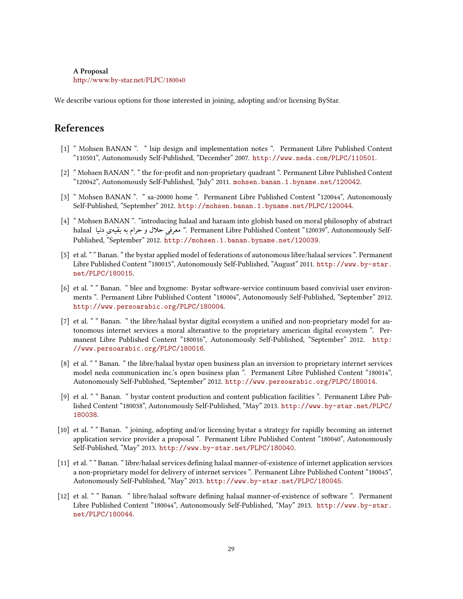#### **A Proposal**

[hp://www.by-star.net/PLPC/180040](http://www.by-star.net/PLPC/180040)

We describe various options for those interested in joining, adopting and/or licensing ByStar.

# **References**

- <span id="page-32-10"></span>[1] " Mohsen BANAN ". " lsip design and implementation notes ". Permanent Libre Published Content "110501", Autonomously Self-Published, "December" 2007. <http://www.neda.com/PLPC/110501>.
- <span id="page-32-9"></span>[2] " Mohsen BANAN ". " the for-profit and non-proprietary quadrant ". Permanent Libre Published Content "120042", Autonomously Self-Published, "July" 2011. <mohsen.banan.1.byname.net/120042>.
- <span id="page-32-5"></span>[3] " Mohsen BANAN ". " sa-20000 home ". Permanent Libre Published Content "120044", Autonomously Self-Published, "September" 2012. <http://mohsen.banan.1.byname.net/PLPC/120044>.
- <span id="page-32-1"></span>[4] " Mohsen BANAN ". "introducing halaal and haraam into globish based on moral philosophy of abstract halaal معرفي حلال و حرام به بقيه بي دنيا . Permanent Libre Published Content "120039", Autonomously Self-Published, "September" 2012. <http://mohsen.1.banan.byname.net/120039>.
- <span id="page-32-4"></span>[5] et al. " " Banan. " the bystar applied model of federations of autonomous libre/halaal services ". Permanent Libre Published Content "180015", Autonomously Self-Published, "August" 2011. [http://www.by-star.](http://www.by-star.net/PLPC/180015) [net/PLPC/180015](http://www.by-star.net/PLPC/180015).
- <span id="page-32-6"></span>[6] et al. " " Banan. " blee and bxgnome: Bystar software-service continuum based convivial user environments ". Permanent Libre Published Content "180004", Autonomously Self-Published, "September" 2012. <http://www.persoarabic.org/PLPC/180004>.
- <span id="page-32-0"></span>[7] et al. " " Banan. " the libre/halaal bystar digital ecosystem a unified and non-proprietary model for autonomous internet services a moral alterantive to the proprietary american digital ecosystem ". Permanent Libre Published Content "180016", Autonomously Self-Published, "September" 2012. [http:](http://www.persoarabic.org/PLPC/180016) [//www.persoarabic.org/PLPC/180016](http://www.persoarabic.org/PLPC/180016).
- <span id="page-32-11"></span>[8] et al. " " Banan. " the libre/halaal bystar open business plan an inversion to proprietary internet services model neda communication inc.'s open business plan ". Permanent Libre Published Content "180014", Autonomously Self-Published, "September" 2012. <http://www.persoarabic.org/PLPC/180014>.
- <span id="page-32-7"></span>[9] et al. " " Banan. " bystar content production and content publication facilities ". Permanent Libre Published Content "180038", Autonomously Self-Published, "May" 2013. [http://www.by-star.net/PLPC/](http://www.by-star.net/PLPC/180038) [180038](http://www.by-star.net/PLPC/180038).
- <span id="page-32-8"></span>[10] et al. " " Banan. " joining, adopting and/or licensing bystar a strategy for rapidly becoming an internet application service provider a proposal ". Permanent Libre Published Content "180040", Autonomously Self-Published, "May" 2013. <http://www.by-star.net/PLPC/180040>.
- <span id="page-32-3"></span>[11] et al. " " Banan. " libre/halaal services defining halaal manner-of-existence of internet application services a non-proprietary model for delivery of internet services ". Permanent Libre Published Content "180045", Autonomously Self-Published, "May" 2013. <http://www.by-star.net/PLPC/180045>.
- <span id="page-32-2"></span>[12] et al. " " Banan. " libre/halaal software defining halaal manner-of-existence of software ". Permanent Libre Published Content "180044", Autonomously Self-Published, "May" 2013. [http://www.by-star.](http://www.by-star.net/PLPC/180044) [net/PLPC/180044](http://www.by-star.net/PLPC/180044).